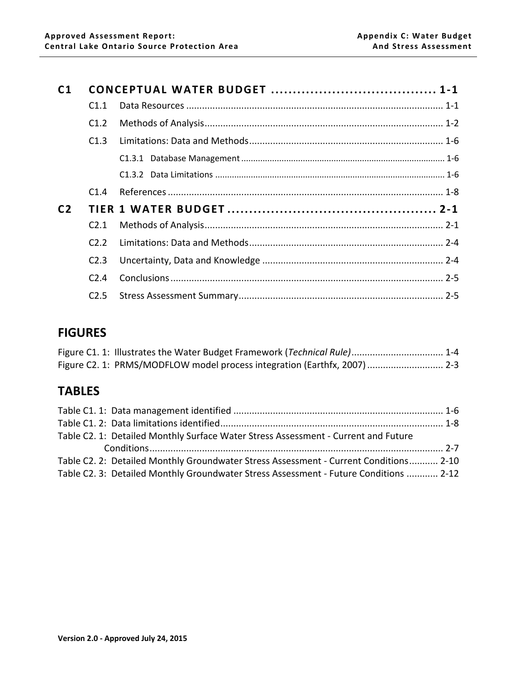| C <sub>1</sub> |                  |  |
|----------------|------------------|--|
|                | C1.1             |  |
|                | C1.2             |  |
|                | C1.3             |  |
|                |                  |  |
|                |                  |  |
|                | C1.4             |  |
| C <sub>2</sub> |                  |  |
|                | C <sub>2.1</sub> |  |
|                | C2.2             |  |
|                | C <sub>2.3</sub> |  |
|                | C <sub>2.4</sub> |  |
|                | C2.5             |  |

## **FIGURES**

| Figure C1. 1: Illustrates the Water Budget Framework (Technical Rule) 1-4 |  |
|---------------------------------------------------------------------------|--|
| Figure C2. 1: PRMS/MODFLOW model process integration (Earthfx, 2007)  2-3 |  |

# **TABLES**

| Table C2. 1: Detailed Monthly Surface Water Stress Assessment - Current and Future    |  |
|---------------------------------------------------------------------------------------|--|
|                                                                                       |  |
| Table C2. 2: Detailed Monthly Groundwater Stress Assessment - Current Conditions 2-10 |  |
| Table C2. 3: Detailed Monthly Groundwater Stress Assessment - Future Conditions  2-12 |  |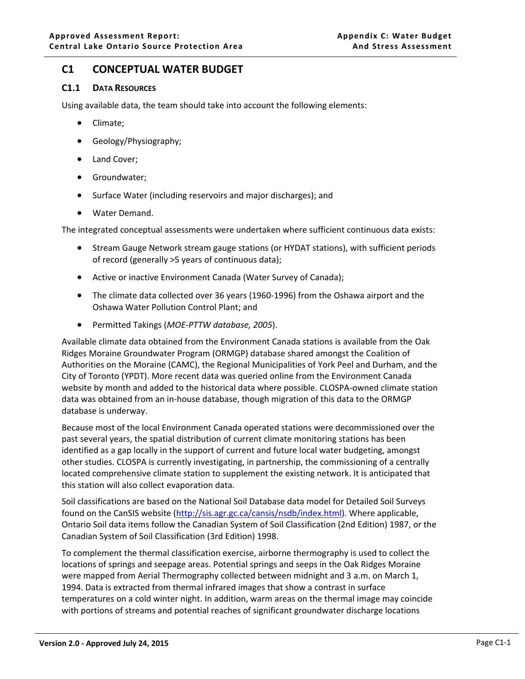## <span id="page-1-0"></span>**C1 CONCEPTUAL WATER BUDGET**

## <span id="page-1-1"></span>**C1.1 DATA RESOURCES**

Using available data, the team should take into account the following elements:

- Climate;
- Geology/Physiography;
- Land Cover;
- Groundwater;
- Surface Water (including reservoirs and major discharges); and
- Water Demand.

The integrated conceptual assessments were undertaken where sufficient continuous data exists:

- Stream Gauge Network stream gauge stations (or HYDAT stations), with sufficient periods of record (generally >5 years of continuous data);
- Active or inactive Environment Canada (Water Survey of Canada);
- The climate data collected over 36 years (1960-1996) from the Oshawa airport and the Oshawa Water Pollution Control Plant; and
- Permitted Takings (*MOE-PTTW database, 2005*).

Available climate data obtained from the Environment Canada stations is available from the Oak Ridges Moraine Groundwater Program (ORMGP) database shared amongst the Coalition of Authorities on the Moraine (CAMC), the Regional Municipalities of York Peel and Durham, and the City of Toronto (YPDT). More recent data was queried online from the Environment Canada website by month and added to the historical data where possible. CLOSPA-owned climate station data was obtained from an in-house database, though migration of this data to the ORMGP database is underway.

Because most of the local Environment Canada operated stations were decommissioned over the past several years, the spatial distribution of current climate monitoring stations has been identified as a gap locally in the support of current and future local water budgeting, amongst other studies. CLOSPA is currently investigating, in partnership, the commissioning of a centrally located comprehensive climate station to supplement the existing network. It is anticipated that this station will also collect evaporation data.

Soil classifications are based on the National Soil Database data model for Detailed Soil Surveys found on the CanSIS website [\(http://sis.agr.gc.ca/cansis/nsdb/index.html\)](http://sis.agr.gc.ca/cansis/nsdb/index.html). Where applicable, Ontario Soil data items follow the Canadian System of Soil Classification (2nd Edition) 1987, or the Canadian System of Soil Classification (3rd Edition) 1998.

To complement the thermal classification exercise, airborne thermography is used to collect the locations of springs and seepage areas. Potential springs and seeps in the Oak Ridges Moraine were mapped from Aerial Thermography collected between midnight and 3 a.m. on March 1, 1994. Data is extracted from thermal infrared images that show a contrast in surface temperatures on a cold winter night. In addition, warm areas on the thermal image may coincide with portions of streams and potential reaches of significant groundwater discharge locations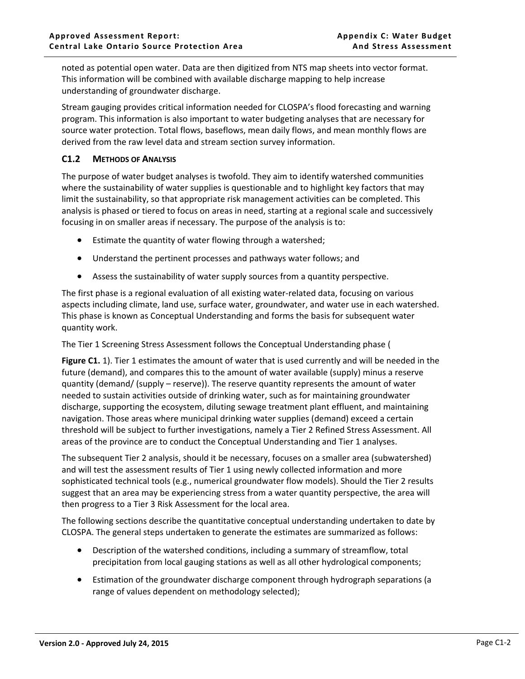noted as potential open water. Data are then digitized from NTS map sheets into vector format. This information will be combined with available discharge mapping to help increase understanding of groundwater discharge.

Stream gauging provides critical information needed for CLOSPA's flood forecasting and warning program. This information is also important to water budgeting analyses that are necessary for source water protection. Total flows, baseflows, mean daily flows, and mean monthly flows are derived from the raw level data and stream section survey information.

## <span id="page-2-0"></span>**C1.2 METHODS OF ANALYSIS**

The purpose of water budget analyses is twofold. They aim to identify watershed communities where the sustainability of water supplies is questionable and to highlight key factors that may limit the sustainability, so that appropriate risk management activities can be completed. This analysis is phased or tiered to focus on areas in need, starting at a regional scale and successively focusing in on smaller areas if necessary. The purpose of the analysis is to:

- Estimate the quantity of water flowing through a watershed;
- Understand the pertinent processes and pathways water follows; and
- Assess the sustainability of water supply sources from a quantity perspective.

The first phase is a regional evaluation of all existing water-related data, focusing on various aspects including climate, land use, surface water, groundwater, and water use in each watershed. This phase is known as Conceptual Understanding and forms the basis for subsequent water quantity work.

The Tier 1 Screening Stress Assessment follows the Conceptual Understanding phase [\(](#page-4-1)

**[Figure C1.](#page-4-1)** 1). Tier 1 estimates the amount of water that is used currently and will be needed in the future (demand), and compares this to the amount of water available (supply) minus a reserve quantity (demand/ (supply – reserve)). The reserve quantity represents the amount of water needed to sustain activities outside of drinking water, such as for maintaining groundwater discharge, supporting the ecosystem, diluting sewage treatment plant effluent, and maintaining navigation. Those areas where municipal drinking water supplies (demand) exceed a certain threshold will be subject to further investigations, namely a Tier 2 Refined Stress Assessment. All areas of the province are to conduct the Conceptual Understanding and Tier 1 analyses.

The subsequent Tier 2 analysis, should it be necessary, focuses on a smaller area (subwatershed) and will test the assessment results of Tier 1 using newly collected information and more sophisticated technical tools (e.g., numerical groundwater flow models). Should the Tier 2 results suggest that an area may be experiencing stress from a water quantity perspective, the area will then progress to a Tier 3 Risk Assessment for the local area.

The following sections describe the quantitative conceptual understanding undertaken to date by CLOSPA. The general steps undertaken to generate the estimates are summarized as follows:

- Description of the watershed conditions, including a summary of streamflow, total precipitation from local gauging stations as well as all other hydrological components;
- Estimation of the groundwater discharge component through hydrograph separations (a range of values dependent on methodology selected);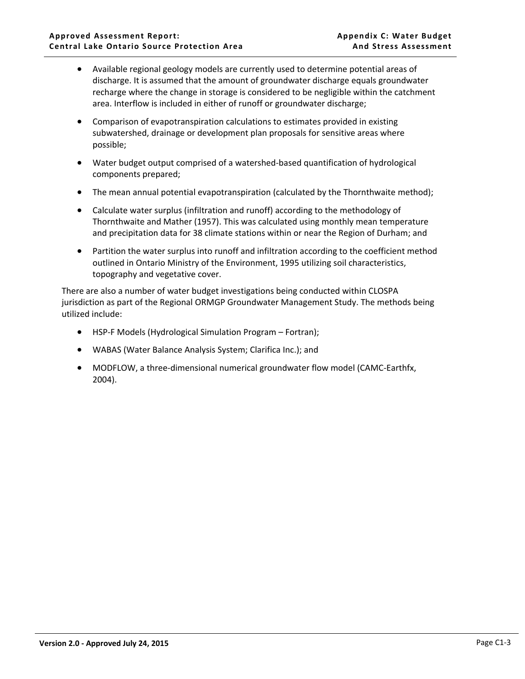- Available regional geology models are currently used to determine potential areas of discharge. It is assumed that the amount of groundwater discharge equals groundwater recharge where the change in storage is considered to be negligible within the catchment area. Interflow is included in either of runoff or groundwater discharge;
- Comparison of evapotranspiration calculations to estimates provided in existing subwatershed, drainage or development plan proposals for sensitive areas where possible;
- Water budget output comprised of a watershed-based quantification of hydrological components prepared;
- The mean annual potential evapotranspiration (calculated by the Thornthwaite method);
- Calculate water surplus (infiltration and runoff) according to the methodology of Thornthwaite and Mather (1957). This was calculated using monthly mean temperature and precipitation data for 38 climate stations within or near the Region of Durham; and
- Partition the water surplus into runoff and infiltration according to the coefficient method outlined in Ontario Ministry of the Environment, 1995 utilizing soil characteristics, topography and vegetative cover.

There are also a number of water budget investigations being conducted within CLOSPA jurisdiction as part of the Regional ORMGP Groundwater Management Study. The methods being utilized include:

- HSP-F Models (Hydrological Simulation Program Fortran);
- WABAS (Water Balance Analysis System; Clarifica Inc.); and
- MODFLOW, a three-dimensional numerical groundwater flow model (CAMC-Earthfx, 2004).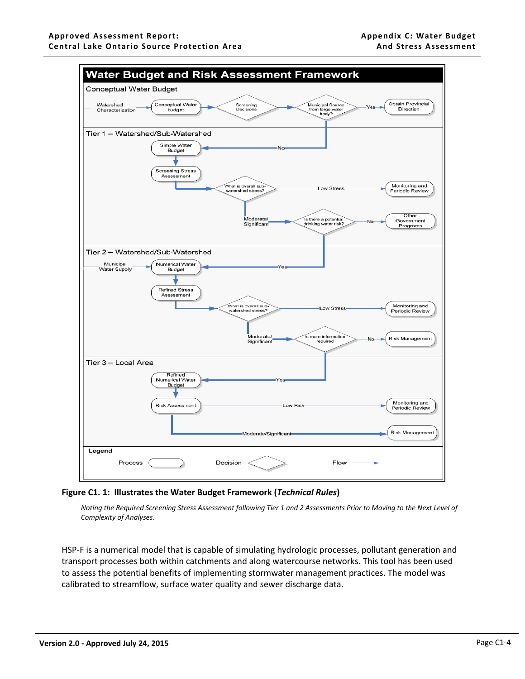<span id="page-4-1"></span>

### <span id="page-4-0"></span>**Figure C1. 1: Illustrates the Water Budget Framework (***Technical Rules***)**

*Noting the Required Screening Stress Assessment following Tier 1 and 2 Assessments Prior to Moving to the Next Level of Complexity of Analyses.*

HSP-F is a numerical model that is capable of simulating hydrologic processes, pollutant generation and transport processes both within catchments and along watercourse networks. This tool has been used to assess the potential benefits of implementing stormwater management practices. The model was calibrated to streamflow, surface water quality and sewer discharge data.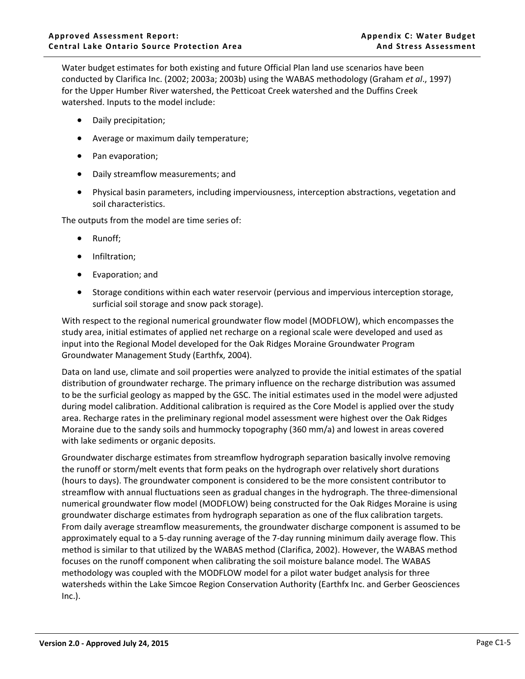Water budget estimates for both existing and future Official Plan land use scenarios have been conducted by Clarifica Inc. (2002; 2003a; 2003b) using the WABAS methodology (Graham *et al*., 1997) for the Upper Humber River watershed, the Petticoat Creek watershed and the Duffins Creek watershed. Inputs to the model include:

- Daily precipitation;
- Average or maximum daily temperature;
- Pan evaporation;
- Daily streamflow measurements; and
- Physical basin parameters, including imperviousness, interception abstractions, vegetation and soil characteristics.

The outputs from the model are time series of:

- Runoff;
- Infiltration;
- Evaporation; and
- Storage conditions within each water reservoir (pervious and impervious interception storage, surficial soil storage and snow pack storage).

With respect to the regional numerical groundwater flow model (MODFLOW), which encompasses the study area, initial estimates of applied net recharge on a regional scale were developed and used as input into the Regional Model developed for the Oak Ridges Moraine Groundwater Program Groundwater Management Study (Earthfx, 2004).

Data on land use, climate and soil properties were analyzed to provide the initial estimates of the spatial distribution of groundwater recharge. The primary influence on the recharge distribution was assumed to be the surficial geology as mapped by the GSC. The initial estimates used in the model were adjusted during model calibration. Additional calibration is required as the Core Model is applied over the study area. Recharge rates in the preliminary regional model assessment were highest over the Oak Ridges Moraine due to the sandy soils and hummocky topography (360 mm/a) and lowest in areas covered with lake sediments or organic deposits.

Groundwater discharge estimates from streamflow hydrograph separation basically involve removing the runoff or storm/melt events that form peaks on the hydrograph over relatively short durations (hours to days). The groundwater component is considered to be the more consistent contributor to streamflow with annual fluctuations seen as gradual changes in the hydrograph. The three-dimensional numerical groundwater flow model (MODFLOW) being constructed for the Oak Ridges Moraine is using groundwater discharge estimates from hydrograph separation as one of the flux calibration targets. From daily average streamflow measurements, the groundwater discharge component is assumed to be approximately equal to a 5-day running average of the 7-day running minimum daily average flow. This method is similar to that utilized by the WABAS method (Clarifica, 2002). However, the WABAS method focuses on the runoff component when calibrating the soil moisture balance model. The WABAS methodology was coupled with the MODFLOW model for a pilot water budget analysis for three watersheds within the Lake Simcoe Region Conservation Authority (Earthfx Inc. and Gerber Geosciences Inc.).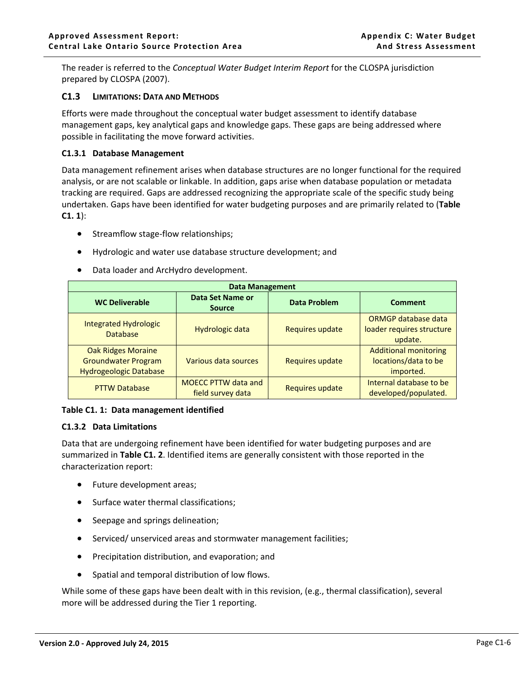The reader is referred to the *Conceptual Water Budget Interim Report* for the CLOSPA jurisdiction prepared by CLOSPA (2007).

#### <span id="page-6-0"></span>**C1.3 LIMITATIONS: DATA AND METHODS**

Efforts were made throughout the conceptual water budget assessment to identify database management gaps, key analytical gaps and knowledge gaps. These gaps are being addressed where possible in facilitating the move forward activities.

#### <span id="page-6-1"></span>**C1.3.1 Database Management**

Data management refinement arises when database structures are no longer functional for the required analysis, or are not scalable or linkable. In addition, gaps arise when database population or metadata tracking are required. Gaps are addressed recognizing the appropriate scale of the specific study being undertaken. Gaps have been identified for water budgeting purposes and are primarily related to (**[Table](#page-6-3)  [C1. 1](#page-6-3)**):

- Streamflow stage-flow relationships;
- Hydrologic and water use database structure development; and
- Data loader and ArcHydro development.

|                                                                                          | <b>Data Management</b>                          |                        |                                                                   |  |  |  |  |  |  |  |  |  |  |
|------------------------------------------------------------------------------------------|-------------------------------------------------|------------------------|-------------------------------------------------------------------|--|--|--|--|--|--|--|--|--|--|
| <b>WC Deliverable</b>                                                                    | Data Set Name or<br><b>Source</b>               | <b>Data Problem</b>    | Comment                                                           |  |  |  |  |  |  |  |  |  |  |
| <b>Integrated Hydrologic</b><br><b>Database</b>                                          | <b>Hydrologic data</b>                          | <b>Requires update</b> | ORMGP database data<br>loader requires structure<br>update.       |  |  |  |  |  |  |  |  |  |  |
| <b>Oak Ridges Moraine</b><br><b>Groundwater Program</b><br><b>Hydrogeologic Database</b> | Various data sources                            | <b>Requires update</b> | <b>Additional monitoring</b><br>locations/data to be<br>imported. |  |  |  |  |  |  |  |  |  |  |
| <b>PTTW Database</b>                                                                     | <b>MOECC PTTW data and</b><br>field survey data | Requires update        | Internal database to be<br>developed/populated.                   |  |  |  |  |  |  |  |  |  |  |

#### <span id="page-6-3"></span>**Table C1. 1: Data management identified**

#### <span id="page-6-2"></span>**C1.3.2 Data Limitations**

Data that are undergoing refinement have been identified for water budgeting purposes and are summarized in **[Table C1. 2](#page-8-1)**. Identified items are generally consistent with those reported in the characterization report:

- Future development areas;
- Surface water thermal classifications;
- Seepage and springs delineation;
- Serviced/ unserviced areas and stormwater management facilities;
- Precipitation distribution, and evaporation; and
- Spatial and temporal distribution of low flows.

While some of these gaps have been dealt with in this revision, (e.g., thermal classification), several more will be addressed during the Tier 1 reporting.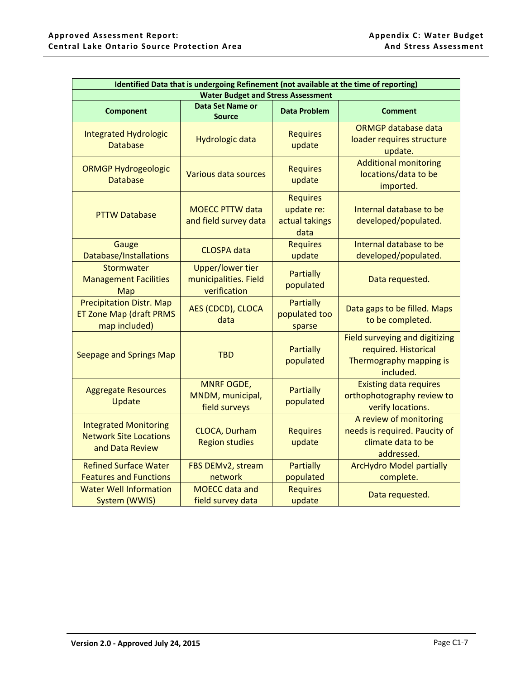| Identified Data that is undergoing Refinement (not available at the time of reporting)<br><b>Water Budget and Stress Assessment</b> |                                                                  |                                                         |                                                                                                       |  |  |  |  |  |  |  |  |  |
|-------------------------------------------------------------------------------------------------------------------------------------|------------------------------------------------------------------|---------------------------------------------------------|-------------------------------------------------------------------------------------------------------|--|--|--|--|--|--|--|--|--|
|                                                                                                                                     |                                                                  |                                                         |                                                                                                       |  |  |  |  |  |  |  |  |  |
| <b>Component</b>                                                                                                                    | Data Set Name or<br><b>Source</b>                                | <b>Data Problem</b>                                     | <b>Comment</b>                                                                                        |  |  |  |  |  |  |  |  |  |
| <b>Integrated Hydrologic</b><br><b>Database</b>                                                                                     | Hydrologic data                                                  | <b>Requires</b><br>update                               | <b>ORMGP database data</b><br>loader requires structure<br>update.                                    |  |  |  |  |  |  |  |  |  |
| <b>ORMGP Hydrogeologic</b><br><b>Database</b>                                                                                       | Various data sources                                             | <b>Requires</b><br>update                               | <b>Additional monitoring</b><br>locations/data to be<br>imported.                                     |  |  |  |  |  |  |  |  |  |
| <b>PTTW Database</b>                                                                                                                | <b>MOECC PTTW data</b><br>and field survey data                  | <b>Requires</b><br>update re:<br>actual takings<br>data | Internal database to be<br>developed/populated.                                                       |  |  |  |  |  |  |  |  |  |
| Gauge<br>Database/Installations                                                                                                     | <b>CLOSPA</b> data                                               | <b>Requires</b><br>update                               | Internal database to be<br>developed/populated.                                                       |  |  |  |  |  |  |  |  |  |
| Stormwater<br><b>Management Facilities</b><br>Map                                                                                   | <b>Upper/lower tier</b><br>municipalities. Field<br>verification | <b>Partially</b><br>populated                           | Data requested.                                                                                       |  |  |  |  |  |  |  |  |  |
| <b>Precipitation Distr. Map</b><br><b>ET Zone Map (draft PRMS</b><br>map included)                                                  | AES (CDCD), CLOCA<br>data                                        | <b>Partially</b><br>populated too<br>sparse             | Data gaps to be filled. Maps<br>to be completed.                                                      |  |  |  |  |  |  |  |  |  |
| <b>Seepage and Springs Map</b>                                                                                                      | <b>TBD</b>                                                       | <b>Partially</b><br>populated                           | <b>Field surveying and digitizing</b><br>required. Historical<br>Thermography mapping is<br>included. |  |  |  |  |  |  |  |  |  |
| <b>Aggregate Resources</b><br>Update                                                                                                | <b>MNRF OGDE,</b><br>MNDM, municipal,<br>field surveys           | <b>Partially</b><br>populated                           | <b>Existing data requires</b><br>orthophotography review to<br>verify locations.                      |  |  |  |  |  |  |  |  |  |
| <b>Integrated Monitoring</b><br><b>Network Site Locations</b><br>and Data Review                                                    | <b>CLOCA, Durham</b><br><b>Region studies</b>                    | <b>Requires</b><br>update                               | A review of monitoring<br>needs is required. Paucity of<br>climate data to be<br>addressed.           |  |  |  |  |  |  |  |  |  |
| <b>Refined Surface Water</b><br><b>Features and Functions</b>                                                                       | FBS DEMv2, stream<br>network                                     | <b>Partially</b><br>populated                           | <b>ArcHydro Model partially</b><br>complete.                                                          |  |  |  |  |  |  |  |  |  |
| <b>Water Well Information</b><br>System (WWIS)                                                                                      | <b>MOECC</b> data and<br>field survey data                       | <b>Requires</b><br>update                               | Data requested.                                                                                       |  |  |  |  |  |  |  |  |  |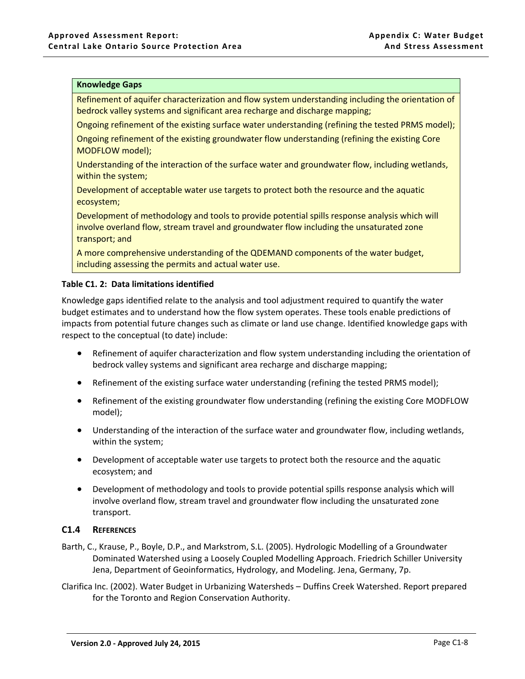#### **Knowledge Gaps**

Refinement of aquifer characterization and flow system understanding including the orientation of bedrock valley systems and significant area recharge and discharge mapping;

Ongoing refinement of the existing surface water understanding (refining the tested PRMS model);

Ongoing refinement of the existing groundwater flow understanding (refining the existing Core MODFLOW model);

Understanding of the interaction of the surface water and groundwater flow, including wetlands, within the system;

Development of acceptable water use targets to protect both the resource and the aquatic ecosystem;

Development of methodology and tools to provide potential spills response analysis which will involve overland flow, stream travel and groundwater flow including the unsaturated zone transport; and

A more comprehensive understanding of the QDEMAND components of the water budget, including assessing the permits and actual water use.

#### <span id="page-8-1"></span>**Table C1. 2: Data limitations identified**

Knowledge gaps identified relate to the analysis and tool adjustment required to quantify the water budget estimates and to understand how the flow system operates. These tools enable predictions of impacts from potential future changes such as climate or land use change. Identified knowledge gaps with respect to the conceptual (to date) include:

- Refinement of aquifer characterization and flow system understanding including the orientation of bedrock valley systems and significant area recharge and discharge mapping;
- Refinement of the existing surface water understanding (refining the tested PRMS model);
- Refinement of the existing groundwater flow understanding (refining the existing Core MODFLOW model);
- Understanding of the interaction of the surface water and groundwater flow, including wetlands, within the system;
- Development of acceptable water use targets to protect both the resource and the aquatic ecosystem; and
- Development of methodology and tools to provide potential spills response analysis which will involve overland flow, stream travel and groundwater flow including the unsaturated zone transport.

### <span id="page-8-0"></span>**C1.4 REFERENCES**

- Barth, C., Krause, P., Boyle, D.P., and Markstrom, S.L. (2005). Hydrologic Modelling of a Groundwater Dominated Watershed using a Loosely Coupled Modelling Approach. Friedrich Schiller University Jena, Department of Geoinformatics, Hydrology, and Modeling. Jena, Germany, 7p.
- Clarifica Inc. (2002). Water Budget in Urbanizing Watersheds Duffins Creek Watershed. Report prepared for the Toronto and Region Conservation Authority.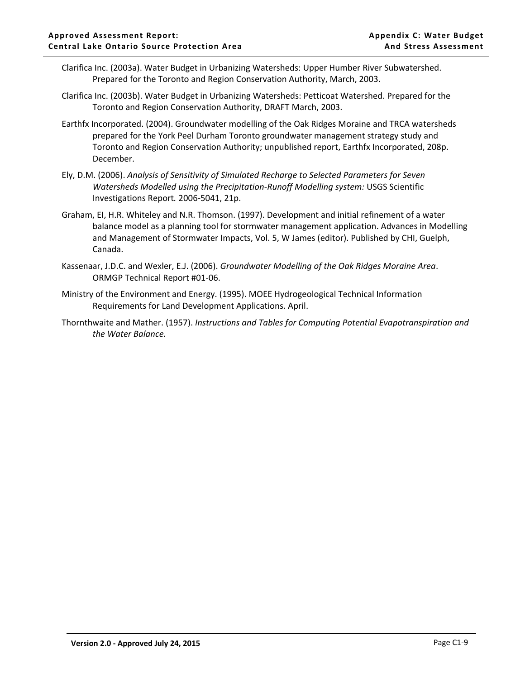- Clarifica Inc. (2003a). Water Budget in Urbanizing Watersheds: Upper Humber River Subwatershed. Prepared for the Toronto and Region Conservation Authority, March, 2003.
- Clarifica Inc. (2003b). Water Budget in Urbanizing Watersheds: Petticoat Watershed. Prepared for the Toronto and Region Conservation Authority, DRAFT March, 2003.
- Earthfx Incorporated. (2004). Groundwater modelling of the Oak Ridges Moraine and TRCA watersheds prepared for the York Peel Durham Toronto groundwater management strategy study and Toronto and Region Conservation Authority; unpublished report, Earthfx Incorporated, 208p. December.
- Ely, D.M. (2006). *Analysis of Sensitivity of Simulated Recharge to Selected Parameters for Seven Watersheds Modelled using the Precipitation‐Runoff Modelling system:* USGS Scientific Investigations Report*.* 2006‐5041, 21p.
- Graham, EI, H.R. Whiteley and N.R. Thomson. (1997). Development and initial refinement of a water balance model as a planning tool for stormwater management application. Advances in Modelling and Management of Stormwater Impacts, Vol. 5, W James (editor). Published by CHI, Guelph, Canada.
- Kassenaar, J.D.C. and Wexler, E.J. (2006). *Groundwater Modelling of the Oak Ridges Moraine Area*. ORMGP Technical Report #01-06.
- Ministry of the Environment and Energy. (1995). MOEE Hydrogeological Technical Information Requirements for Land Development Applications. April.
- Thornthwaite and Mather. (1957). *Instructions and Tables for Computing Potential Evapotranspiration and the Water Balance.*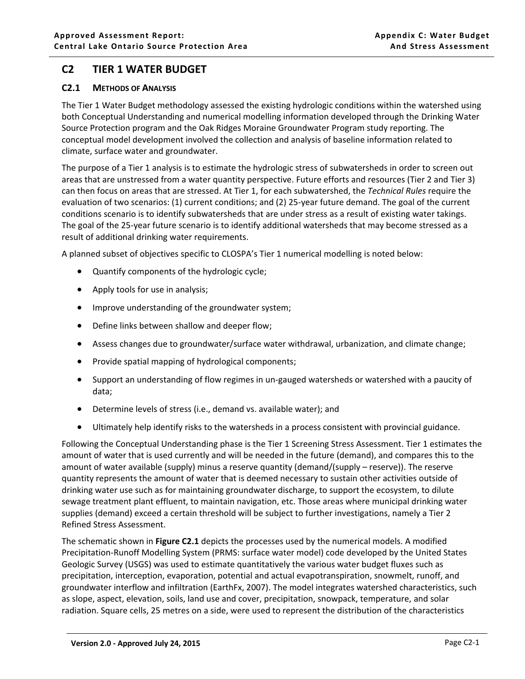## <span id="page-10-0"></span>**C2 TIER 1 WATER BUDGET**

## <span id="page-10-1"></span>**C2.1 METHODS OF ANALYSIS**

The Tier 1 Water Budget methodology assessed the existing hydrologic conditions within the watershed using both Conceptual Understanding and numerical modelling information developed through the Drinking Water Source Protection program and the Oak Ridges Moraine Groundwater Program study reporting. The conceptual model development involved the collection and analysis of baseline information related to climate, surface water and groundwater.

The purpose of a Tier 1 analysis is to estimate the hydrologic stress of subwatersheds in order to screen out areas that are unstressed from a water quantity perspective. Future efforts and resources (Tier 2 and Tier 3) can then focus on areas that are stressed. At Tier 1, for each subwatershed, the *Technical Rules* require the evaluation of two scenarios: (1) current conditions; and (2) 25-year future demand. The goal of the current conditions scenario is to identify subwatersheds that are under stress as a result of existing water takings. The goal of the 25-year future scenario is to identify additional watersheds that may become stressed as a result of additional drinking water requirements.

A planned subset of objectives specific to CLOSPA's Tier 1 numerical modelling is noted below:

- Quantify components of the hydrologic cycle;
- Apply tools for use in analysis;
- Improve understanding of the groundwater system;
- Define links between shallow and deeper flow;
- Assess changes due to groundwater/surface water withdrawal, urbanization, and climate change;
- Provide spatial mapping of hydrological components;
- Support an understanding of flow regimes in un-gauged watersheds or watershed with a paucity of data;
- Determine levels of stress (i.e., demand vs. available water); and
- Ultimately help identify risks to the watersheds in a process consistent with provincial guidance.

Following the Conceptual Understanding phase is the Tier 1 Screening Stress Assessment. Tier 1 estimates the amount of water that is used currently and will be needed in the future (demand), and compares this to the amount of water available (supply) minus a reserve quantity (demand/(supply – reserve)). The reserve quantity represents the amount of water that is deemed necessary to sustain other activities outside of drinking water use such as for maintaining groundwater discharge, to support the ecosystem, to dilute sewage treatment plant effluent, to maintain navigation, etc. Those areas where municipal drinking water supplies (demand) exceed a certain threshold will be subject to further investigations, namely a Tier 2 Refined Stress Assessment.

The schematic shown in **Figure C2.1** depicts the processes used by the numerical models. A modified Precipitation-Runoff Modelling System (PRMS: surface water model) code developed by the United States Geologic Survey (USGS) was used to estimate quantitatively the various water budget fluxes such as precipitation, interception, evaporation, potential and actual evapotranspiration, snowmelt, runoff, and groundwater interflow and infiltration (EarthFx, 2007). The model integrates watershed characteristics, such as slope, aspect, elevation, soils, land use and cover, precipitation, snowpack, temperature, and solar radiation. Square cells, 25 metres on a side, were used to represent the distribution of the characteristics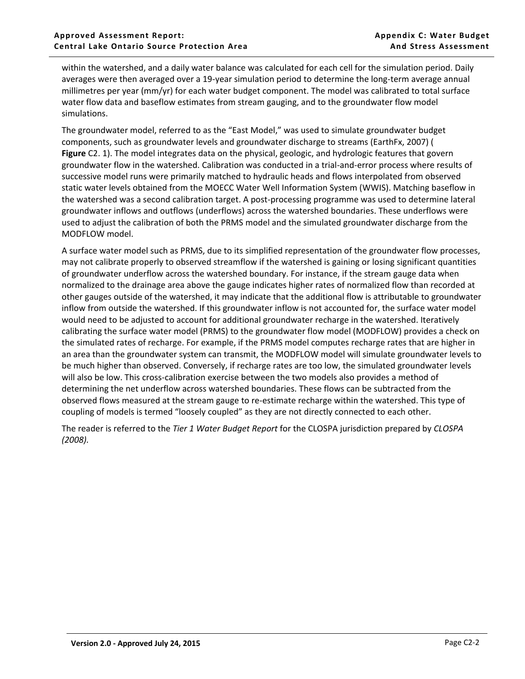within the watershed, and a daily water balance was calculated for each cell for the simulation period. Daily averages were then averaged over a 19-year simulation period to determine the long-term average annual millimetres per year (mm/yr) for each water budget component. The model was calibrated to total surface water flow data and baseflow estimates from stream gauging, and to the groundwater flow model simulations.

The groundwater model, referred to as the "East Model," was used to simulate groundwater budget components, such as groundwater levels and groundwater discharge to streams (EarthFx, 2007) ( **[Figure](#page-12-0)** C2. 1). The model integrates data on the physical, geologic, and hydrologic features that govern groundwater flow in the watershed. Calibration was conducted in a trial-and-error process where results of successive model runs were primarily matched to hydraulic heads and flows interpolated from observed static water levels obtained from the MOECC Water Well Information System (WWIS). Matching baseflow in the watershed was a second calibration target. A post-processing programme was used to determine lateral groundwater inflows and outflows (underflows) across the watershed boundaries. These underflows were used to adjust the calibration of both the PRMS model and the simulated groundwater discharge from the MODFLOW model.

A surface water model such as PRMS, due to its simplified representation of the groundwater flow processes, may not calibrate properly to observed streamflow if the watershed is gaining or losing significant quantities of groundwater underflow across the watershed boundary. For instance, if the stream gauge data when normalized to the drainage area above the gauge indicates higher rates of normalized flow than recorded at other gauges outside of the watershed, it may indicate that the additional flow is attributable to groundwater inflow from outside the watershed. If this groundwater inflow is not accounted for, the surface water model would need to be adjusted to account for additional groundwater recharge in the watershed. Iteratively calibrating the surface water model (PRMS) to the groundwater flow model (MODFLOW) provides a check on the simulated rates of recharge. For example, if the PRMS model computes recharge rates that are higher in an area than the groundwater system can transmit, the MODFLOW model will simulate groundwater levels to be much higher than observed. Conversely, if recharge rates are too low, the simulated groundwater levels will also be low. This cross-calibration exercise between the two models also provides a method of determining the net underflow across watershed boundaries. These flows can be subtracted from the observed flows measured at the stream gauge to re-estimate recharge within the watershed. This type of coupling of models is termed "loosely coupled" as they are not directly connected to each other.

The reader is referred to the *Tier 1 Water Budget Report* for the CLOSPA jurisdiction prepared by *CLOSPA (2008).*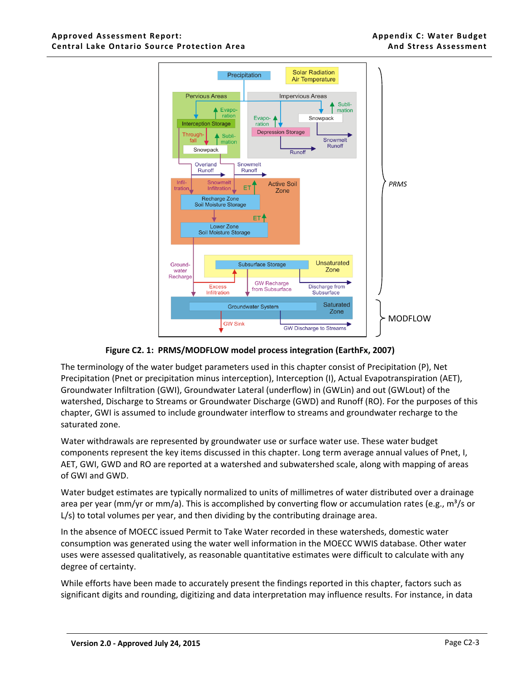

 **Figure C2. 1: PRMS/MODFLOW model process integration (EarthFx, 2007)**

<span id="page-12-0"></span>The terminology of the water budget parameters used in this chapter consist of Precipitation (P), Net Precipitation (Pnet or precipitation minus interception), Interception (I), Actual Evapotranspiration (AET), Groundwater Infiltration (GWI), Groundwater Lateral (underflow) in (GWLin) and out (GWLout) of the watershed, Discharge to Streams or Groundwater Discharge (GWD) and Runoff (RO). For the purposes of this chapter, GWI is assumed to include groundwater interflow to streams and groundwater recharge to the saturated zone.

Water withdrawals are represented by groundwater use or surface water use. These water budget components represent the key items discussed in this chapter. Long term average annual values of Pnet, I, AET, GWI, GWD and RO are reported at a watershed and subwatershed scale, along with mapping of areas of GWI and GWD.

Water budget estimates are typically normalized to units of millimetres of water distributed over a drainage area per year (mm/yr or mm/a). This is accomplished by converting flow or accumulation rates (e.g.,  $m^3/s$  or L/s) to total volumes per year, and then dividing by the contributing drainage area.

In the absence of MOECC issued Permit to Take Water recorded in these watersheds, domestic water consumption was generated using the water well information in the MOECC WWIS database. Other water uses were assessed qualitatively, as reasonable quantitative estimates were difficult to calculate with any degree of certainty.

While efforts have been made to accurately present the findings reported in this chapter, factors such as significant digits and rounding, digitizing and data interpretation may influence results. For instance, in data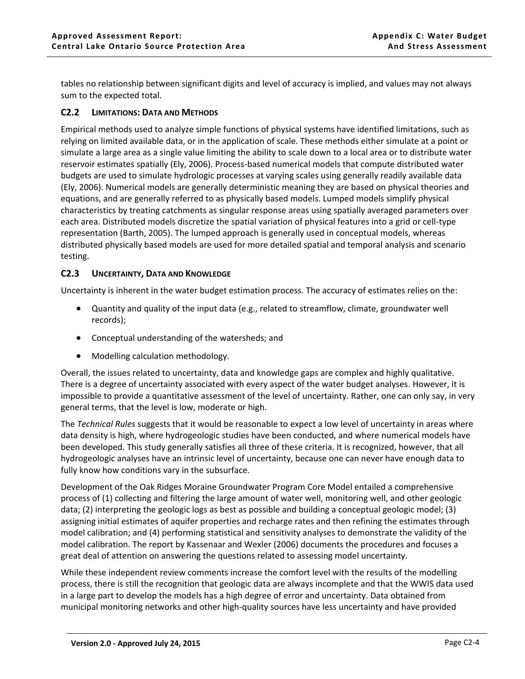tables no relationship between significant digits and level of accuracy is implied, and values may not always sum to the expected total.

## <span id="page-13-0"></span>**C2.2 LIMITATIONS: DATA AND METHODS**

Empirical methods used to analyze simple functions of physical systems have identified limitations, such as relying on limited available data, or in the application of scale. These methods either simulate at a point or simulate a large area as a single value limiting the ability to scale down to a local area or to distribute water reservoir estimates spatially (Ely, 2006). Process-based numerical models that compute distributed water budgets are used to simulate hydrologic processes at varying scales using generally readily available data (Ely, 2006). Numerical models are generally deterministic meaning they are based on physical theories and equations, and are generally referred to as physically based models. Lumped models simplify physical characteristics by treating catchments as singular response areas using spatially averaged parameters over each area. Distributed models discretize the spatial variation of physical features into a grid or cell-type representation (Barth, 2005). The lumped approach is generally used in conceptual models, whereas distributed physically based models are used for more detailed spatial and temporal analysis and scenario testing.

## <span id="page-13-1"></span>**C2.3 UNCERTAINTY, DATA AND KNOWLEDGE**

Uncertainty is inherent in the water budget estimation process. The accuracy of estimates relies on the:

- Quantity and quality of the input data (e.g., related to streamflow, climate, groundwater well records);
- Conceptual understanding of the watersheds; and
- Modelling calculation methodology.

Overall, the issues related to uncertainty, data and knowledge gaps are complex and highly qualitative. There is a degree of uncertainty associated with every aspect of the water budget analyses. However, it is impossible to provide a quantitative assessment of the level of uncertainty. Rather, one can only say, in very general terms, that the level is low, moderate or high.

The *Technical Rules* suggests that it would be reasonable to expect a low level of uncertainty in areas where data density is high, where hydrogeologic studies have been conducted, and where numerical models have been developed. This study generally satisfies all three of these criteria. It is recognized, however, that all hydrogeologic analyses have an intrinsic level of uncertainty, because one can never have enough data to fully know how conditions vary in the subsurface.

Development of the Oak Ridges Moraine Groundwater Program Core Model entailed a comprehensive process of (1) collecting and filtering the large amount of water well, monitoring well, and other geologic data; (2) interpreting the geologic logs as best as possible and building a conceptual geologic model; (3) assigning initial estimates of aquifer properties and recharge rates and then refining the estimates through model calibration; and (4) performing statistical and sensitivity analyses to demonstrate the validity of the model calibration. The report by Kassenaar and Wexler (2006) documents the procedures and focuses a great deal of attention on answering the questions related to assessing model uncertainty.

While these independent review comments increase the comfort level with the results of the modelling process, there is still the recognition that geologic data are always incomplete and that the WWIS data used in a large part to develop the models has a high degree of error and uncertainty. Data obtained from municipal monitoring networks and other high-quality sources have less uncertainty and have provided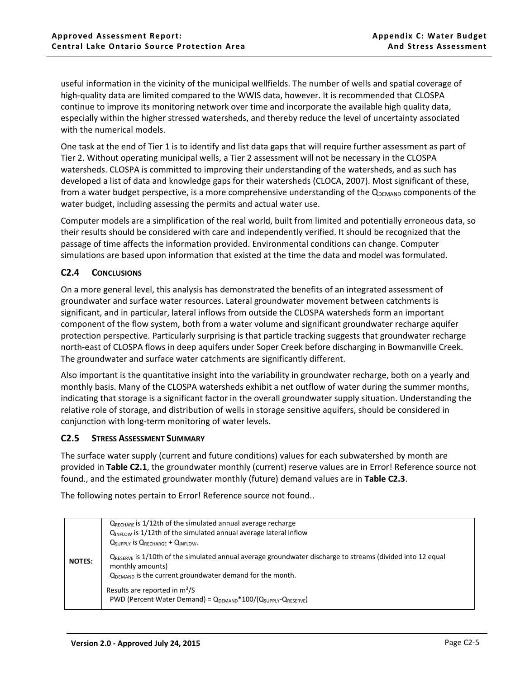useful information in the vicinity of the municipal wellfields. The number of wells and spatial coverage of high-quality data are limited compared to the WWIS data, however. It is recommended that CLOSPA continue to improve its monitoring network over time and incorporate the available high quality data, especially within the higher stressed watersheds, and thereby reduce the level of uncertainty associated with the numerical models.

One task at the end of Tier 1 is to identify and list data gaps that will require further assessment as part of Tier 2. Without operating municipal wells, a Tier 2 assessment will not be necessary in the CLOSPA watersheds. CLOSPA is committed to improving their understanding of the watersheds, and as such has developed a list of data and knowledge gaps for their watersheds (CLOCA, 2007). Most significant of these, from a water budget perspective, is a more comprehensive understanding of the  $Q_{DEMAND}$  components of the water budget, including assessing the permits and actual water use.

Computer models are a simplification of the real world, built from limited and potentially erroneous data, so their results should be considered with care and independently verified. It should be recognized that the passage of time affects the information provided. Environmental conditions can change. Computer simulations are based upon information that existed at the time the data and model was formulated.

## <span id="page-14-0"></span>**C2.4 CONCLUSIONS**

On a more general level, this analysis has demonstrated the benefits of an integrated assessment of groundwater and surface water resources. Lateral groundwater movement between catchments is significant, and in particular, lateral inflows from outside the CLOSPA watersheds form an important component of the flow system, both from a water volume and significant groundwater recharge aquifer protection perspective. Particularly surprising is that particle tracking suggests that groundwater recharge north-east of CLOSPA flows in deep aquifers under Soper Creek before discharging in Bowmanville Creek. The groundwater and surface water catchments are significantly different.

Also important is the quantitative insight into the variability in groundwater recharge, both on a yearly and monthly basis. Many of the CLOSPA watersheds exhibit a net outflow of water during the summer months, indicating that storage is a significant factor in the overall groundwater supply situation. Understanding the relative role of storage, and distribution of wells in storage sensitive aquifers, should be considered in conjunction with long-term monitoring of water levels.

### <span id="page-14-1"></span>**C2.5 STRESS ASSESSMENT SUMMARY**

The surface water supply (current and future conditions) values for each subwatershed by month are provided in **Table C2.1**, the groundwater monthly (current) reserve values are in Error! Reference source not found., and the estimated groundwater monthly (future) demand values are in **Table C2.3**.

The following notes pertain to Error! Reference source not found..

|               | $Q_{RECHARE}$ is 1/12th of the simulated annual average recharge<br>QINFLOW is 1/12th of the simulated annual average lateral inflow<br><b>Q</b> SUPPLY IS QRECHARGE + QINFLOW.                 |
|---------------|-------------------------------------------------------------------------------------------------------------------------------------------------------------------------------------------------|
| <b>NOTES:</b> | $Q_{RFSFRVF}$ is 1/10th of the simulated annual average groundwater discharge to streams (divided into 12 equal<br>monthly amounts)<br>QDEMAND is the current groundwater demand for the month. |
|               | Results are reported in $m^3/S$<br>PWD (Percent Water Demand) = $Q_{DEMAND}$ *100/( $Q_{SUPPIY}$ - $Q_{RESEIVE}$ )                                                                              |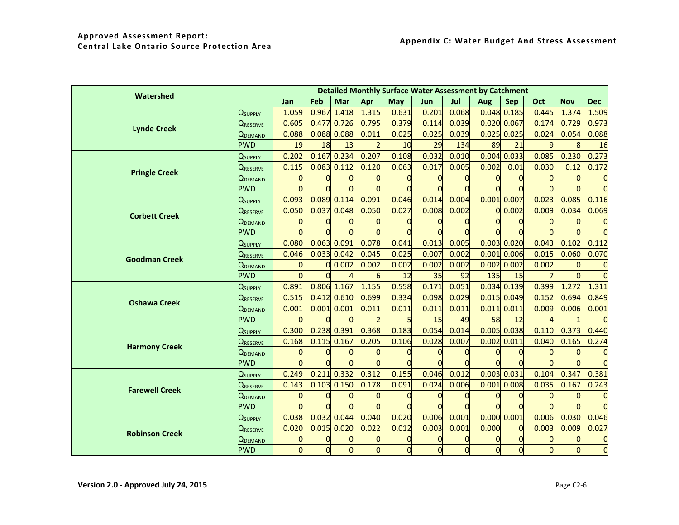| Watershed             |                                 |       |     |                 |       |       | <b>Detailed Monthly Surface Water Assessment by Catchment</b> |       |       |                 |          |            |            |
|-----------------------|---------------------------------|-------|-----|-----------------|-------|-------|---------------------------------------------------------------|-------|-------|-----------------|----------|------------|------------|
|                       |                                 | Jan   | Feb | Mar             | Apr   | May   | <b>Jun</b>                                                    | Jul   | Aug   | <b>Sep</b>      | Oct      | <b>Nov</b> | <b>Dec</b> |
|                       | <b>Q</b> supply                 | 1.059 |     | $0.967$ 1.418   | 1.315 | 0.631 | 0.201                                                         | 0.068 |       | $0.048$ $0.185$ | 0.445    | 1.374      | 1.509      |
| <b>Lynde Creek</b>    | <b>QRESERVE</b>                 | 0.605 |     | 0.477 0.726     | 0.795 | 0.379 | 0.114                                                         | 0.039 |       | $0.020$ 0.067   | 0.174    | 0.729      | 0.973      |
|                       | QDEMAND                         | 0.088 |     | $0.088$ $0.088$ | 0.011 | 0.025 | 0.025                                                         | 0.039 |       | $0.025$ 0.025   | 0.024    | 0.054      | 0.088      |
|                       | <b>PWD</b>                      | 19    | 18  | 13              |       | 10    | 29                                                            | 134   | 89    | 21              |          |            | 16         |
|                       | <b>Q</b> supply                 | 0.202 |     | $0.167$ 0.234   | 0.207 | 0.108 | 0.032                                                         | 0.010 |       | $0.004$ 0.033   | 0.085    | 0.230      | 0.273      |
| <b>Pringle Creek</b>  | <b>QRESERVE</b>                 | 0.115 |     | $0.083$ 0.112   | 0.120 | 0.063 | 0.017                                                         | 0.005 | 0.002 | 0.01            | 0.030    | 0.12       | 0.172      |
|                       | <b>Q</b> DEMAND                 |       |     |                 |       |       |                                                               |       |       | $\Omega$        |          |            |            |
|                       | <b>PWD</b>                      |       |     |                 |       |       |                                                               |       |       |                 |          |            |            |
|                       | <b>Q</b> supply                 | 0.093 |     | 0.089 0.114     | 0.091 | 0.046 | 0.014                                                         | 0.004 |       | $0.001$ 0.007   | 0.023    | 0.085      | 0.116      |
| <b>Corbett Creek</b>  | <b>QRESERVE</b>                 | 0.050 |     | $0.037$ $0.048$ | 0.050 | 0.027 | 0.008                                                         | 0.002 | 0     | 0.002           | 0.009    | 0.034      | 0.069      |
|                       | <b>QDEMAND</b>                  |       | 0   |                 |       |       |                                                               |       |       | $\overline{0}$  | 0        | $\Omega$   |            |
|                       | <b>PWD</b>                      |       |     |                 |       |       |                                                               |       |       |                 |          |            |            |
|                       | <b>Q</b> supply                 | 0.080 |     | $0.063$ $0.091$ | 0.078 | 0.041 | 0.013                                                         | 0.005 |       | $0.003$ $0.020$ | 0.043    | 0.102      | 0.112      |
|                       | $\mathsf{Q}_{\mathsf{RESERVE}}$ | 0.046 |     | $0.033$ $0.042$ | 0.045 | 0.025 | 0.007                                                         | 0.002 |       | $0.001$ 0.006   | 0.015    | 0.060      | 0.070      |
| <b>Goodman Creek</b>  | <b>Q</b> DEMAND                 |       | 0l  | 0.002           | 0.002 | 0.002 | 0.002                                                         | 0.002 |       | $0.002$ 0.002   | 0.002    |            |            |
|                       | <b>PWD</b>                      |       |     |                 | 6     | 12    | 35                                                            | 92    | 135   | 15              |          | $\Omega$   |            |
|                       | <b>Q</b> supply                 | 0.891 |     | $0.806$ 1.167   | 1.155 | 0.558 | 0.171                                                         | 0.051 |       | 0.034 0.139     | 0.399    | 1.272      | 1.311      |
| <b>Oshawa Creek</b>   | $Q_{\tt RESENE}$                | 0.515 |     | $0.412$ $0.610$ | 0.699 | 0.334 | 0.098                                                         | 0.029 |       | $0.015$ 0.049   | 0.152    | 0.694      | 0.849      |
|                       | <b>QDEMAND</b>                  | 0.001 |     | $0.001$ 0.001   | 0.011 | 0.011 | 0.011                                                         | 0.011 |       | $0.011$ $0.011$ | 0.009    | 0.006      | 0.001      |
|                       | <b>PWD</b>                      |       |     |                 |       |       | 15                                                            | 49    | 58    | 12              |          |            |            |
|                       | <b>Q</b> supply                 | 0.300 |     | $0.238$ 0.391   | 0.368 | 0.183 | 0.054                                                         | 0.014 |       | $0.005$ $0.038$ | 0.110    | 0.373      | 0.440      |
| <b>Harmony Creek</b>  | <b>QRESERVE</b>                 | 0.168 |     | $0.115$ 0.167   | 0.205 | 0.106 | 0.028                                                         | 0.007 |       | 0.002 0.011     | 0.040    | 0.165      | 0.274      |
|                       | <b>Q</b> DEMAND                 |       |     |                 |       |       |                                                               |       |       |                 |          |            |            |
|                       | <b>PWD</b>                      |       |     |                 |       |       |                                                               |       |       |                 |          |            |            |
|                       | <b>Q</b> supply                 | 0.249 |     | $0.211$ 0.332   | 0.312 | 0.155 | 0.046                                                         | 0.012 |       | $0.003$ 0.031   | 0.104    | 0.347      | 0.381      |
| <b>Farewell Creek</b> | <b>QRESERVE</b>                 | 0.143 |     | $0.103$ $0.150$ | 0.178 | 0.091 | 0.024                                                         | 0.006 |       | $0.001$ $0.008$ | 0.035    | 0.167      | 0.243      |
|                       | <b>Q</b> DEMAND                 |       | 0   | $\Omega$        |       |       |                                                               |       |       |                 | $\Omega$ | $\Omega$   |            |
|                       | <b>PWD</b>                      |       |     |                 |       |       |                                                               |       |       |                 |          |            |            |
|                       | <b>Q</b> supply                 | 0.038 |     | 0.032 0.044     | 0.040 | 0.020 | 0.006                                                         | 0.001 |       | $0.000$ $0.001$ | 0.006    | 0.030      | 0.046      |
| <b>Robinson Creek</b> | $Q_{\sf RESERVE}$               | 0.020 |     | $0.015$ 0.020   | 0.022 | 0.012 | 0.003                                                         | 0.001 | 0.000 | $\Omega$        | 0.003    | 0.009      | 0.027      |
|                       | <b>QDEMAND</b>                  |       |     |                 |       |       |                                                               |       |       | $\overline{0}$  | 0        | 0          |            |
|                       | <b>PWD</b>                      |       |     | $\Omega$        |       |       |                                                               |       |       | $\Omega$        |          | $\Omega$   |            |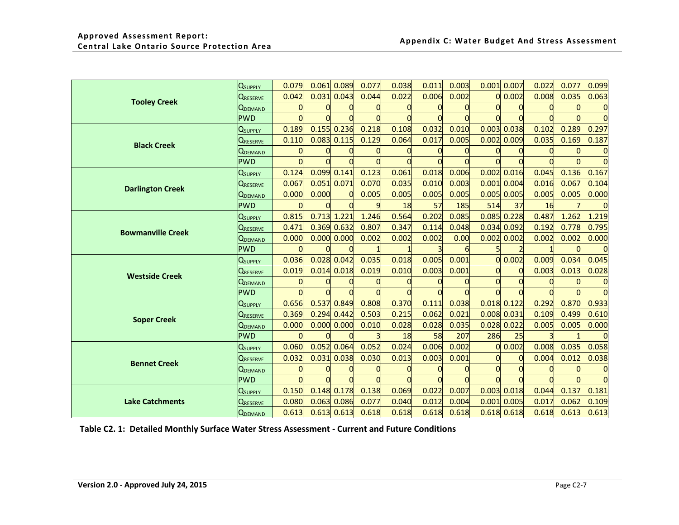| <b>Q</b> suppLY | 0.079           |       |             | 0.077                                                                                                                                                                                                                                                                              | 0.038 | 0.011    | 0.003 |          |          | 0.022                                                                                                                                                                                                                                                       | 0.077 | 0.099 |
|-----------------|-----------------|-------|-------------|------------------------------------------------------------------------------------------------------------------------------------------------------------------------------------------------------------------------------------------------------------------------------------|-------|----------|-------|----------|----------|-------------------------------------------------------------------------------------------------------------------------------------------------------------------------------------------------------------------------------------------------------------|-------|-------|
| <b>URESERVE</b> | 0.042           |       |             | 0.044                                                                                                                                                                                                                                                                              | 0.022 | 0.006    | 0.002 |          | 0.002    | 0.008                                                                                                                                                                                                                                                       | 0.035 | 0.063 |
| <b>QDEMAND</b>  |                 |       |             |                                                                                                                                                                                                                                                                                    |       |          |       |          |          |                                                                                                                                                                                                                                                             |       |       |
| <b>PWD</b>      |                 |       |             |                                                                                                                                                                                                                                                                                    |       | n        |       |          |          |                                                                                                                                                                                                                                                             |       |       |
| <b>Q</b> supply | 0.189           |       |             | 0.218                                                                                                                                                                                                                                                                              | 0.108 | 0.032    | 0.010 |          |          | 0.102                                                                                                                                                                                                                                                       | 0.289 | 0.297 |
| <b>QRESERVE</b> | 0.110           |       |             | 0.129                                                                                                                                                                                                                                                                              | 0.064 | 0.017    | 0.005 |          |          | 0.035                                                                                                                                                                                                                                                       | 0.169 | 0.187 |
|                 |                 |       |             |                                                                                                                                                                                                                                                                                    |       |          |       |          |          |                                                                                                                                                                                                                                                             |       |       |
| <b>PWD</b>      |                 |       |             |                                                                                                                                                                                                                                                                                    |       |          |       |          |          |                                                                                                                                                                                                                                                             |       |       |
| <b>Q</b> supply | 0.124           |       | 0.141       | 0.123                                                                                                                                                                                                                                                                              | 0.061 | 0.018    | 0.006 |          | 0.016    | 0.045                                                                                                                                                                                                                                                       | 0.136 | 0.167 |
| <b>QRESERVE</b> | 0.067           |       |             | 0.070                                                                                                                                                                                                                                                                              | 0.035 | 0.010    | 0.003 |          |          | 0.016                                                                                                                                                                                                                                                       | 0.067 | 0.104 |
| <b>QDEMAND</b>  | 0.000           | 0.000 | $\mathbf 0$ | 0.005                                                                                                                                                                                                                                                                              | 0.005 | 0.005    | 0.005 |          |          | 0.005                                                                                                                                                                                                                                                       | 0.005 | 0.000 |
| <b>PWD</b>      |                 |       |             | $\mathbf{q}$                                                                                                                                                                                                                                                                       | 18    | 57       | 185   | 514      | 37       | 16                                                                                                                                                                                                                                                          |       |       |
| <b>QSUPPLY</b>  | 0.815           |       |             | 1.246                                                                                                                                                                                                                                                                              | 0.564 | 0.202    | 0.085 |          |          | 0.487                                                                                                                                                                                                                                                       | 1.262 | 1.219 |
| <b>QRESERVE</b> | 0.471           |       | 0.632       | 0.807                                                                                                                                                                                                                                                                              | 0.347 | 0.114    | 0.048 | 0.034    | 0.092    | 0.192                                                                                                                                                                                                                                                       | 0.778 | 0.795 |
| <b>QDEMAND</b>  | 0.000           |       |             | 0.002                                                                                                                                                                                                                                                                              | 0.002 | 0.002    | 0.00  |          |          | 0.002                                                                                                                                                                                                                                                       | 0.002 | 0.000 |
| <b>PWD</b>      |                 |       |             |                                                                                                                                                                                                                                                                                    |       |          |       |          |          |                                                                                                                                                                                                                                                             |       |       |
| <b>Q</b> suppLY | 0.036           |       |             | 0.035                                                                                                                                                                                                                                                                              | 0.018 | 0.005    | 0.001 |          | 0.002    | 0.009                                                                                                                                                                                                                                                       | 0.034 | 0.045 |
| <b>QRESERVE</b> | 0.019           |       | 0.018       | 0.019                                                                                                                                                                                                                                                                              | 0.010 | 0.003    | 0.001 |          | 0        | 0.003                                                                                                                                                                                                                                                       | 0.013 | 0.028 |
| <b>Q</b> DEMAND | $\Omega$        |       |             |                                                                                                                                                                                                                                                                                    |       |          |       | $\Omega$ | $\Omega$ |                                                                                                                                                                                                                                                             |       |       |
| <b>PWD</b>      |                 |       |             |                                                                                                                                                                                                                                                                                    |       |          |       |          |          |                                                                                                                                                                                                                                                             |       |       |
| <b>QSUPPLY</b>  | 0.656           |       |             | 0.808                                                                                                                                                                                                                                                                              | 0.370 | 0.111    | 0.038 |          |          | 0.292                                                                                                                                                                                                                                                       | 0.870 | 0.933 |
| <b>QRESERVE</b> | 0.369           |       |             | 0.503                                                                                                                                                                                                                                                                              | 0.215 | 0.062    | 0.021 |          |          | 0.109                                                                                                                                                                                                                                                       | 0.499 | 0.610 |
| <b>QDEMAND</b>  | 0.000           |       | 0.000       | 0.010                                                                                                                                                                                                                                                                              | 0.028 | 0.028    | 0.035 |          |          | 0.005                                                                                                                                                                                                                                                       | 0.005 | 0.000 |
| <b>PWD</b>      |                 |       |             |                                                                                                                                                                                                                                                                                    | 18    | 58       | 207   | 286      | 25       |                                                                                                                                                                                                                                                             |       |       |
| <b>Q</b> supply | 0.060           |       |             | 0.052                                                                                                                                                                                                                                                                              | 0.024 | 0.006    | 0.002 |          | 0.002    | 0.008                                                                                                                                                                                                                                                       | 0.035 | 0.058 |
| <b>QRESERVE</b> | 0.032           | 0.031 | 0.038       | 0.030                                                                                                                                                                                                                                                                              | 0.013 | 0.003    | 0.001 |          | $\Omega$ | 0.004                                                                                                                                                                                                                                                       | 0.012 | 0.038 |
| <b>Q</b> DEMAND | 0               |       |             |                                                                                                                                                                                                                                                                                    |       |          |       | $\Omega$ | $\Omega$ |                                                                                                                                                                                                                                                             |       |       |
| <b>PWD</b>      |                 |       |             |                                                                                                                                                                                                                                                                                    |       | $\Omega$ |       |          |          |                                                                                                                                                                                                                                                             |       |       |
| <b>Q</b> suppLY | 0.150           |       |             | 0.138                                                                                                                                                                                                                                                                              | 0.069 | 0.022    | 0.007 |          |          | 0.044                                                                                                                                                                                                                                                       | 0.137 | 0.181 |
| <b>QRESERVE</b> | 0.080           |       | 0.086       | 0.077                                                                                                                                                                                                                                                                              | 0.040 | 0.012    | 0.004 |          |          | 0.017                                                                                                                                                                                                                                                       | 0.062 | 0.109 |
| <b>QDEMAND</b>  | 0.613           |       |             | 0.618                                                                                                                                                                                                                                                                              | 0.618 | 0.618    | 0.618 |          |          | 0.618                                                                                                                                                                                                                                                       | 0.613 | 0.613 |
|                 | <b>Q</b> DEMAND |       |             | $0.061$ $0.089$<br>$0.031$ $0.043$<br>$0.155$ $0.236$<br>$0.083$ $0.115$<br>0.099<br>$0.051$ 0.071<br>$0.713$ 1.221<br>0.369<br>0.000 0.000<br>$0.028$ 0.042<br>0.014<br>0.537<br>0.849<br>$0.294$ 0.442<br>0.000<br>0.052<br>0.064<br>$0.148$ $0.178$<br>0.063<br>$0.613$ $0.613$ |       |          |       |          |          | 0.001<br>0.007<br>$0.003$ $0.038$<br>$0.002$ 0.009<br>0.002<br>$0.001$ 0.004<br>$0.005$ 0.005<br>$0.085$ 0.228<br>$0.002$ 0.002<br>O<br>$0.018$ 0.122<br>$0.008$ 0.031<br>$0.028$ $0.022$<br>$\Omega$<br>$0.003$ 0.018<br>0.001<br>0.005<br>$0.618$ $0.618$ |       |       |

<span id="page-16-0"></span>**Table C2. 1: Detailed Monthly Surface Water Stress Assessment - Current and Future Conditions**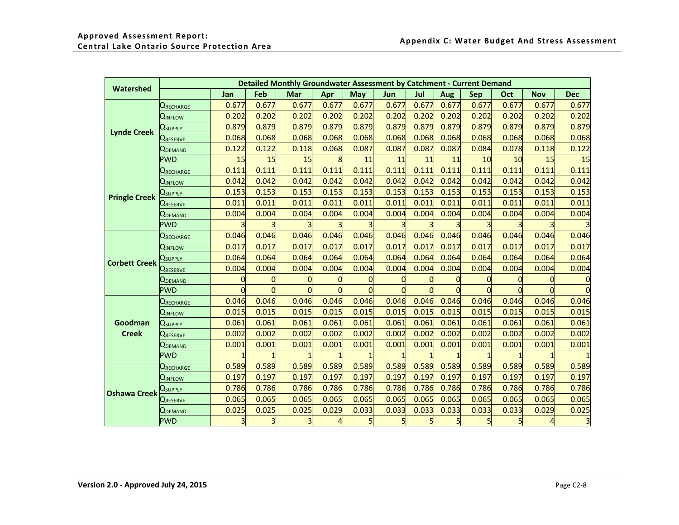| Detailed Monthly Groundwater Assessment by Catchment - Current Demand<br>Watershed |                                |                |       |       |       |       |       |       |                |                |       |                |            |
|------------------------------------------------------------------------------------|--------------------------------|----------------|-------|-------|-------|-------|-------|-------|----------------|----------------|-------|----------------|------------|
|                                                                                    |                                | Jan            | Feb   | Mar   | Apr   | May   | Jun   | Jul   | Aug            | <b>Sep</b>     | Oct   | <b>Nov</b>     | <b>Dec</b> |
|                                                                                    | <b>QRECHARGE</b>               | 0.677          | 0.677 | 0.677 | 0.677 | 0.677 | 0.677 | 0.677 | 0.677          | 0.677          | 0.677 | 0.677          | 0.677      |
|                                                                                    | <b>Q</b> inflow                | 0.202          | 0.202 | 0.202 | 0.202 | 0.202 | 0.202 | 0.202 | 0.202          | 0.202          | 0.202 | 0.202          | 0.202      |
|                                                                                    | Usupply                        | 0.879          | 0.879 | 0.879 | 0.879 | 0.879 | 0.879 | 0.879 | 0.879          | 0.879          | 0.879 | 0.879          | 0.879      |
| <b>Lynde Creek</b>                                                                 | <b>QRESERVE</b>                | 0.068          | 0.068 | 0.068 | 0.068 | 0.068 | 0.068 | 0.068 | 0.068          | 0.068          | 0.068 | 0.068          | 0.068      |
|                                                                                    | QDEMAND                        | 0.122          | 0.122 | 0.118 | 0.068 | 0.087 | 0.087 | 0.087 | 0.087          | 0.084          | 0.078 | 0.118          | 0.122      |
|                                                                                    | <b>PWD</b>                     | 15             | 15    | 15    |       | 11    | 11    | 11    | 11             | 10             | 10    | 15             | 15         |
|                                                                                    | <b>QRECHARGE</b>               | 0.111          | 0.111 | 0.111 | 0.111 | 0.111 | 0.111 | 0.111 | 0.111          | 0.111          | 0.111 | 0.111          | 0.111      |
|                                                                                    | Qinflow                        | 0.042          | 0.042 | 0.042 | 0.042 | 0.042 | 0.042 | 0.042 | 0.042          | 0.042          | 0.042 | 0.042          | 0.042      |
| <b>Pringle Creek</b>                                                               | $Q_{\sf SUPPLY}$               | 0.153          | 0.153 | 0.153 | 0.153 | 0.153 | 0.153 | 0.153 | 0.153          | 0.153          | 0.153 | 0.153          | 0.153      |
|                                                                                    | <b>Q</b> RESERVE               | 0.011          | 0.011 | 0.011 | 0.011 | 0.011 | 0.011 | 0.011 | 0.011          | 0.011          | 0.011 | 0.011          | 0.011      |
|                                                                                    | <b>UDEMAND</b>                 | 0.004          | 0.004 | 0.004 | 0.004 | 0.004 | 0.004 | 0.004 | 0.004          | 0.004          | 0.004 | 0.004          | 0.004      |
|                                                                                    | <b>PWD</b>                     |                |       |       |       |       |       |       |                |                |       |                |            |
|                                                                                    | <b>QRECHARGE</b>               | 0.046          | 0.046 | 0.046 | 0.046 | 0.046 | 0.046 | 0.046 | 0.046          | 0.046          | 0.046 | 0.046          | 0.046      |
|                                                                                    | Qinflow                        | 0.017          | 0.017 | 0.017 | 0.017 | 0.017 | 0.017 | 0.017 | 0.017          | 0.017          | 0.017 | 0.017          | 0.017      |
| <b>Corbett Creek</b>                                                               | Qsupply                        | 0.064          | 0.064 | 0.064 | 0.064 | 0.064 | 0.064 | 0.064 | 0.064          | 0.064          | 0.064 | 0.064          | 0.064      |
|                                                                                    | QRESERVE                       | 0.004          | 0.004 | 0.004 | 0.004 | 0.004 | 0.004 | 0.004 | 0.004          | 0.004          | 0.004 | 0.004          | 0.004      |
|                                                                                    | QDEMAND                        | $\overline{0}$ | O     |       |       |       | 0     | O     |                | $\mathbf 0$    |       | $\overline{0}$ |            |
|                                                                                    | <b>PWD</b>                     | $\Omega$       | n     |       |       |       |       |       | $\Omega$       | $\overline{C}$ |       | $\Omega$       |            |
|                                                                                    | <b>QRECHARGE</b>               | 0.046          | 0.046 | 0.046 | 0.046 | 0.046 | 0.046 | 0.046 | 0.046          | 0.046          | 0.046 | 0.046          | 0.046      |
|                                                                                    | <b>QINFLOW</b>                 | 0.015          | 0.015 | 0.015 | 0.015 | 0.015 | 0.015 | 0.015 | 0.015          | 0.015          | 0.015 | 0.015          | 0.015      |
| Goodman                                                                            | <b>Q</b> supply                | 0.061          | 0.061 | 0.061 | 0.061 | 0.061 | 0.061 | 0.061 | 0.061          | 0.061          | 0.061 | 0.061          | 0.061      |
| <b>Creek</b>                                                                       | Q <sub>reserve</sub>           | 0.002          | 0.002 | 0.002 | 0.002 | 0.002 | 0.002 | 0.002 | 0.002          | 0.002          | 0.002 | 0.002          | 0.002      |
|                                                                                    | $\mathsf{Q}_{\mathsf{DEMAND}}$ | 0.001          | 0.001 | 0.001 | 0.001 | 0.001 | 0.001 | 0.001 | 0.001          | 0.001          | 0.001 | 0.001          | 0.001      |
|                                                                                    | <b>PWD</b>                     |                |       |       |       |       |       |       |                |                |       |                |            |
|                                                                                    | <b>QRECHARGE</b>               | 0.589          | 0.589 | 0.589 | 0.589 | 0.589 | 0.589 | 0.589 | 0.589          | 0.589          | 0.589 | 0.589          | 0.589      |
|                                                                                    | <b>QINFLOW</b>                 | 0.197          | 0.197 | 0.197 | 0.197 | 0.197 | 0.197 | 0.197 | 0.197          | 0.197          | 0.197 | 0.197          | 0.197      |
| <b>Oshawa Creek</b>                                                                | Usupply                        | 0.786          | 0.786 | 0.786 | 0.786 | 0.786 | 0.786 | 0.786 | 0.786          | 0.786          | 0.786 | 0.786          | 0.786      |
|                                                                                    | Q <sub>reserve</sub>           | 0.065          | 0.065 | 0.065 | 0.065 | 0.065 | 0.065 | 0.065 | 0.065          | 0.065          | 0.065 | 0.065          | 0.065      |
|                                                                                    | <b>Q</b> DEMAND                | 0.025          | 0.025 | 0.025 | 0.029 | 0.033 | 0.033 | 0.033 | 0.033          | 0.033          | 0.033 | 0.029          | 0.025      |
|                                                                                    | <b>PWD</b>                     | $\overline{3}$ |       |       | 4     |       | 5     |       | 5 <sub>l</sub> | 5              |       | $\overline{4}$ |            |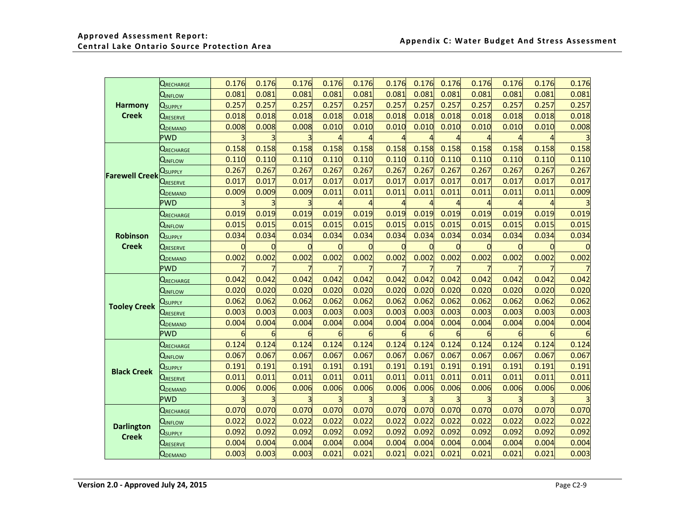|  |                       | <b>QRECHARGE</b>                   | 0.176    | 0.176 | 0.176 | 0.176 | 0.176 | 0.176 | 0.176 | 0.176 | 0.176          | 0.176 | 0.176 | 0.176 |
|--|-----------------------|------------------------------------|----------|-------|-------|-------|-------|-------|-------|-------|----------------|-------|-------|-------|
|  |                       | <b>Q</b> INFLOW                    | 0.081    | 0.081 | 0.081 | 0.081 | 0.081 | 0.081 | 0.081 | 0.081 | 0.081          | 0.081 | 0.081 | 0.081 |
|  | <b>Harmony</b>        | $\mathbf{Q}_{\textnormal{SUPPLY}}$ | 0.257    | 0.257 | 0.257 | 0.257 | 0.257 | 0.257 | 0.257 | 0.257 | 0.257          | 0.257 | 0.257 | 0.257 |
|  | <b>Creek</b>          | <b>QRESERVE</b>                    | 0.018    | 0.018 | 0.018 | 0.018 | 0.018 | 0.018 | 0.018 | 0.018 | 0.018          | 0.018 | 0.018 | 0.018 |
|  |                       | <b>Q</b> DEMAND                    | 0.008    | 0.008 | 0.008 | 0.010 | 0.010 | 0.010 | 0.010 | 0.010 | 0.010          | 0.010 | 0.010 | 0.008 |
|  |                       | <b>PWD</b>                         |          |       |       |       |       |       |       |       |                |       |       |       |
|  |                       | QRECHARGE                          | 0.158    | 0.158 | 0.158 | 0.158 | 0.158 | 0.158 | 0.158 | 0.158 | 0.158          | 0.158 | 0.158 | 0.158 |
|  |                       | Qinflow                            | 0.110    | 0.110 | 0.110 | 0.110 | 0.110 | 0.110 | 0.110 | 0.110 | 0.110          | 0.110 | 0.110 | 0.110 |
|  | <b>Farewell Creek</b> | $\mathsf Q_\mathsf{SUPPLY}$        | 0.267    | 0.267 | 0.267 | 0.267 | 0.267 | 0.267 | 0.267 | 0.267 | 0.267          | 0.267 | 0.267 | 0.267 |
|  |                       | <b>URESERVE</b>                    | 0.017    | 0.017 | 0.017 | 0.017 | 0.017 | 0.017 | 0.017 | 0.017 | 0.017          | 0.017 | 0.017 | 0.017 |
|  |                       | <b>Q</b> DEMAND                    | 0.009    | 0.009 | 0.009 | 0.011 | 0.011 | 0.011 | 0.011 | 0.011 | 0.011          | 0.011 | 0.011 | 0.009 |
|  |                       | <b>PWD</b>                         | 3        |       |       |       |       |       |       |       | $\overline{4}$ |       |       |       |
|  |                       | <b>QRECHARGE</b>                   | 0.019    | 0.019 | 0.019 | 0.019 | 0.019 | 0.019 | 0.019 | 0.019 | 0.019          | 0.019 | 0.019 | 0.019 |
|  | Robinson              | <b>Q</b> INFLOW                    | 0.015    | 0.015 | 0.015 | 0.015 | 0.015 | 0.015 | 0.015 | 0.015 | 0.015          | 0.015 | 0.015 | 0.015 |
|  |                       | <b>Q</b> supply                    | 0.034    | 0.034 | 0.034 | 0.034 | 0.034 | 0.034 | 0.034 | 0.034 | 0.034          | 0.034 | 0.034 | 0.034 |
|  | <b>Creek</b>          | <b>QRESERVE</b>                    | $\Omega$ |       |       | 0     |       |       |       |       | 0              | O     |       |       |
|  |                       | <b>QDEMAND</b>                     | 0.002    | 0.002 | 0.002 | 0.002 | 0.002 | 0.002 | 0.002 | 0.002 | 0.002          | 0.002 | 0.002 | 0.002 |
|  |                       | <b>PWD</b>                         |          |       |       |       |       |       |       |       |                |       |       |       |
|  |                       | <b>QRECHARGE</b>                   | 0.042    | 0.042 | 0.042 | 0.042 | 0.042 | 0.042 | 0.042 | 0.042 | 0.042          | 0.042 | 0.042 | 0.042 |
|  |                       | <b>QINFLOW</b>                     | 0.020    | 0.020 | 0.020 | 0.020 | 0.020 | 0.020 | 0.020 | 0.020 | 0.020          | 0.020 | 0.020 | 0.020 |
|  | <b>Tooley Creek</b>   | <b>U</b> supply                    | 0.062    | 0.062 | 0.062 | 0.062 | 0.062 | 0.062 | 0.062 | 0.062 | 0.062          | 0.062 | 0.062 | 0.062 |
|  |                       | QRESERVE                           | 0.003    | 0.003 | 0.003 | 0.003 | 0.003 | 0.003 | 0.003 | 0.003 | 0.003          | 0.003 | 0.003 | 0.003 |
|  |                       | <b>U</b> demand                    | 0.004    | 0.004 | 0.004 | 0.004 | 0.004 | 0.004 | 0.004 | 0.004 | 0.004          | 0.004 | 0.004 | 0.004 |
|  |                       | <b>PWD</b>                         | 6        | 6     | 6     | 6     |       | 6     |       |       | 6              | 6     | 6     |       |
|  |                       | <b>QRECHARGE</b>                   | 0.124    | 0.124 | 0.124 | 0.124 | 0.124 | 0.124 | 0.124 | 0.124 | 0.124          | 0.124 | 0.124 | 0.124 |
|  |                       | QINFLOW                            | 0.067    | 0.067 | 0.067 | 0.067 | 0.067 | 0.067 | 0.067 | 0.067 | 0.067          | 0.067 | 0.067 | 0.067 |
|  | <b>Black Creek</b>    | <b>QSUPPLY</b>                     | 0.191    | 0.191 | 0.191 | 0.191 | 0.191 | 0.191 | 0.191 | 0.191 | 0.191          | 0.191 | 0.191 | 0.191 |
|  |                       | QRESERVE                           | 0.011    | 0.011 | 0.011 | 0.011 | 0.011 | 0.011 | 0.011 | 0.011 | 0.011          | 0.011 | 0.011 | 0.011 |
|  |                       | <b>Q</b> DEMAND                    | 0.006    | 0.006 | 0.006 | 0.006 | 0.006 | 0.006 | 0.006 | 0.006 | 0.006          | 0.006 | 0.006 | 0.006 |
|  |                       | <b>PWD</b>                         |          |       |       |       |       |       |       |       |                |       |       |       |
|  |                       | <b>QRECHARGE</b>                   | 0.070    | 0.070 | 0.070 | 0.070 | 0.070 | 0.070 | 0.070 | 0.070 | 0.070          | 0.070 | 0.070 | 0.070 |
|  | <b>Darlington</b>     | <b>QINFLOW</b>                     | 0.022    | 0.022 | 0.022 | 0.022 | 0.022 | 0.022 | 0.022 | 0.022 | 0.022          | 0.022 | 0.022 | 0.022 |
|  |                       | <b>Q</b> supply                    | 0.092    | 0.092 | 0.092 | 0.092 | 0.092 | 0.092 | 0.092 | 0.092 | 0.092          | 0.092 | 0.092 | 0.092 |
|  | <b>Creek</b>          | <b>QRESERVE</b>                    | 0.004    | 0.004 | 0.004 | 0.004 | 0.004 | 0.004 | 0.004 | 0.004 | 0.004          | 0.004 | 0.004 | 0.004 |
|  |                       | <b>Q</b> DEMAND                    | 0.003    | 0.003 | 0.003 | 0.021 | 0.021 | 0.021 | 0.021 | 0.021 | 0.021          | 0.021 | 0.021 | 0.003 |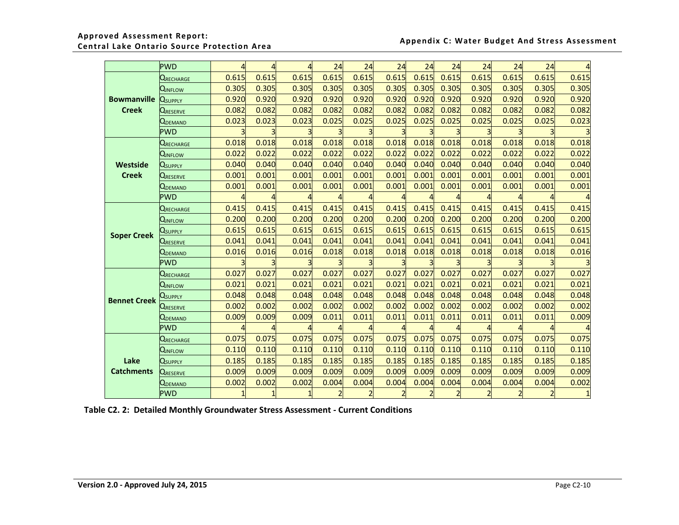|                     | <b>PWD</b>                   | $\overline{a}$ |       | 4     | 24    | 24    | 24    | 24             | 24    | 24    | 24    | 24             | 4     |
|---------------------|------------------------------|----------------|-------|-------|-------|-------|-------|----------------|-------|-------|-------|----------------|-------|
|                     | $Q$ recharge                 | 0.615          | 0.615 | 0.615 | 0.615 | 0.615 | 0.615 | 0.615          | 0.615 | 0.615 | 0.615 | 0.615          | 0.615 |
|                     | Qinflow                      | 0.305          | 0.305 | 0.305 | 0.305 | 0.305 | 0.305 | 0.305          | 0.305 | 0.305 | 0.305 | 0.305          | 0.305 |
| <b>Bowmanville</b>  | <b>Q</b> supply              | 0.920          | 0.920 | 0.920 | 0.920 | 0.920 | 0.920 | 0.920          | 0.920 | 0.920 | 0.920 | 0.920          | 0.920 |
| <b>Creek</b>        | <b>Q</b> RESERVE             | 0.082          | 0.082 | 0.082 | 0.082 | 0.082 | 0.082 | 0.082          | 0.082 | 0.082 | 0.082 | 0.082          | 0.082 |
|                     | <b>Q</b> DEMAND              | 0.023          | 0.023 | 0.023 | 0.025 | 0.025 | 0.025 | 0.025          | 0.025 | 0.025 | 0.025 | 0.025          | 0.023 |
|                     | <b>PWD</b>                   |                |       |       | 3     |       |       |                |       |       |       |                |       |
|                     | <b>QRECHARGE</b>             | 0.018          | 0.018 | 0.018 | 0.018 | 0.018 | 0.018 | 0.018          | 0.018 | 0.018 | 0.018 | 0.018          | 0.018 |
|                     | QINFLOW                      | 0.022          | 0.022 | 0.022 | 0.022 | 0.022 | 0.022 | 0.022          | 0.022 | 0.022 | 0.022 | 0.022          | 0.022 |
| Westside            | $\mathsf{Q}_\mathsf{SUPPLY}$ | 0.040          | 0.040 | 0.040 | 0.040 | 0.040 | 0.040 | 0.040          | 0.040 | 0.040 | 0.040 | 0.040          | 0.040 |
| <b>Creek</b>        | <b>QRESERVE</b>              | 0.001          | 0.001 | 0.001 | 0.001 | 0.001 | 0.001 | 0.001          | 0.001 | 0.001 | 0.001 | 0.001          | 0.001 |
|                     | $\mathsf{Q}_\mathsf{DEMAND}$ | 0.001          | 0.001 | 0.001 | 0.001 | 0.001 | 0.001 | 0.001          | 0.001 | 0.001 | 0.001 | 0.001          | 0.001 |
|                     | <b>PWD</b>                   | Δ              |       |       |       |       |       | 4              | 4     |       |       | 4              |       |
|                     | <b>QRECHARGE</b>             | 0.415          | 0.415 | 0.415 | 0.415 | 0.415 | 0.415 | 0.415          | 0.415 | 0.415 | 0.415 | 0.415          | 0.415 |
|                     | <b>QINFLOW</b>               | 0.200          | 0.200 | 0.200 | 0.200 | 0.200 | 0.200 | 0.200          | 0.200 | 0.200 | 0.200 | 0.200          | 0.200 |
| <b>Soper Creek</b>  | Q <sub>supply</sub>          | 0.615          | 0.615 | 0.615 | 0.615 | 0.615 | 0.615 | 0.615          | 0.615 | 0.615 | 0.615 | 0.615          | 0.615 |
|                     | <b>LRESERVE</b>              | 0.041          | 0.041 | 0.041 | 0.041 | 0.041 | 0.041 | 0.041          | 0.041 | 0.041 | 0.041 | 0.041          | 0.041 |
|                     | Q <sub>DEMAND</sub>          | 0.016          | 0.016 | 0.016 | 0.018 | 0.018 | 0.018 | 0.018          | 0.018 | 0.018 | 0.018 | 0.018          | 0.016 |
|                     | <b>PWD</b>                   |                |       |       |       |       |       |                |       |       |       |                |       |
|                     | <b>QRECHARGE</b>             | 0.027          | 0.027 | 0.027 | 0.027 | 0.027 | 0.027 | 0.027          | 0.027 | 0.027 | 0.027 | 0.027          | 0.027 |
|                     | QINFLOW                      | 0.021          | 0.021 | 0.021 | 0.021 | 0.021 | 0.021 | 0.021          | 0.021 | 0.021 | 0.021 | 0.021          | 0.021 |
| <b>Bennet Creek</b> | Usupply                      | 0.048          | 0.048 | 0.048 | 0.048 | 0.048 | 0.048 | 0.048          | 0.048 | 0.048 | 0.048 | 0.048          | 0.048 |
|                     | <b>QRESERVE</b>              | 0.002          | 0.002 | 0.002 | 0.002 | 0.002 | 0.002 | 0.002          | 0.002 | 0.002 | 0.002 | 0.002          | 0.002 |
|                     | <b>UDEMAND</b>               | 0.009          | 0.009 | 0.009 | 0.011 | 0.011 | 0.011 | 0.011          | 0.011 | 0.011 | 0.011 | 0.011          | 0.009 |
|                     | <b>PWD</b>                   |                |       |       |       |       |       |                |       |       |       |                |       |
|                     | <b>QRECHARGE</b>             | 0.075          | 0.075 | 0.075 | 0.075 | 0.075 | 0.075 | 0.075          | 0.075 | 0.075 | 0.075 | 0.075          | 0.075 |
|                     | QINFLOW                      | 0.110          | 0.110 | 0.110 | 0.110 | 0.110 | 0.110 | 0.110          | 0.110 | 0.110 | 0.110 | 0.110          | 0.110 |
| Lake                | <b>Q</b> supply              | 0.185          | 0.185 | 0.185 | 0.185 | 0.185 | 0.185 | 0.185          | 0.185 | 0.185 | 0.185 | 0.185          | 0.185 |
| <b>Catchments</b>   | QRESERVE                     | 0.009          | 0.009 | 0.009 | 0.009 | 0.009 | 0.009 | 0.009          | 0.009 | 0.009 | 0.009 | 0.009          | 0.009 |
|                     | QDEMAND                      | 0.002          | 0.002 | 0.002 | 0.004 | 0.004 | 0.004 | 0.004          | 0.004 | 0.004 | 0.004 | 0.004          | 0.002 |
|                     | <b>PWD</b>                   |                |       |       | 2     |       |       | $\overline{2}$ | 2     |       |       | $\overline{2}$ |       |

<span id="page-19-0"></span> **Table C2. 2: Detailed Monthly Groundwater Stress Assessment - Current Conditions**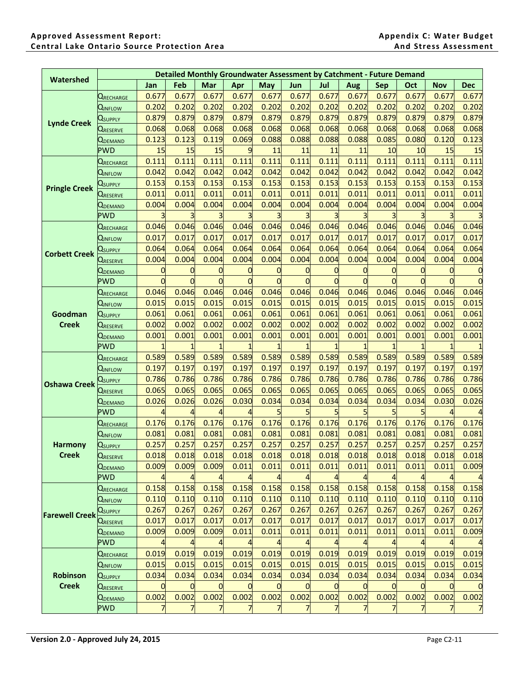|                       |                                |          |                |          |                | <b>Detailed Monthly Groundwater Assessment by Catchment - Future Demand</b> |       |          |                |            |       |            |            |
|-----------------------|--------------------------------|----------|----------------|----------|----------------|-----------------------------------------------------------------------------|-------|----------|----------------|------------|-------|------------|------------|
| Watershed             |                                | Jan      | Feb            | Mar      | Apr            | <b>May</b>                                                                  | Jun   | Jul      | Aug            | <b>Sep</b> | Oct   | <b>Nov</b> | <b>Dec</b> |
|                       | QRECHARGE                      | 0.677    | 0.677          | 0.677    | 0.677          | 0.677                                                                       | 0.677 | 0.677    | 0.677          | 0.677      | 0.677 | 0.677      | 0.677      |
|                       | <b>Q</b> INFLOW                | 0.202    | 0.202          | 0.202    | 0.202          | 0.202                                                                       | 0.202 | 0.202    | 0.202          | 0.202      | 0.202 | 0.202      | 0.202      |
|                       | $\mathsf{Q}_\mathsf{SUPPLY}$   | 0.879    | 0.879          | 0.879    | 0.879          | 0.879                                                                       | 0.879 | 0.879    | 0.879          | 0.879      | 0.879 | 0.879      | 0.879      |
| <b>Lynde Creek</b>    | <b>URESERVE</b>                | 0.068    | 0.068          | 0.068    | 0.068          | 0.068                                                                       | 0.068 | 0.068    | 0.068          | 0.068      | 0.068 | 0.068      | 0.068      |
|                       | <b>UDEMAND</b>                 | 0.123    | 0.123          | 0.119    | 0.069          | 0.088                                                                       | 0.088 | 0.088    | 0.088          | 0.085      | 0.080 | 0.120      | 0.123      |
|                       | <b>PWD</b>                     | 15       | 15             | 15       | 9              | 11                                                                          | 11    | 11       | 11             | 10         | 10    | 15         | 15         |
|                       | <b>QRECHARGE</b>               | 0.111    | 0.111          | 0.111    | 0.111          | 0.111                                                                       | 0.111 | 0.111    | 0.111          | 0.111      | 0.111 | 0.111      | 0.111      |
|                       | Qinflow                        | 0.042    | 0.042          | 0.042    | 0.042          | 0.042                                                                       | 0.042 | 0.042    | 0.042          | 0.042      | 0.042 | 0.042      | 0.042      |
|                       | $\mathsf{Q}_\mathsf{SUPPLY}$   | 0.153    | 0.153          | 0.153    | 0.153          | 0.153                                                                       | 0.153 | 0.153    | 0.153          | 0.153      | 0.153 | 0.153      | 0.153      |
| <b>Pringle Creek</b>  | <b>Q</b> RESERVE               | 0.011    | 0.011          | 0.011    | 0.011          | 0.011                                                                       | 0.011 | 0.011    | 0.011          | 0.011      | 0.011 | 0.011      | 0.011      |
|                       | <b>Q</b> DEMAND                | 0.004    | 0.004          | 0.004    | 0.004          | 0.004                                                                       | 0.004 | 0.004    | 0.004          | 0.004      | 0.004 | 0.004      | 0.004      |
|                       | <b>PWD</b>                     |          |                |          |                |                                                                             |       |          |                |            |       |            |            |
|                       | <b>Q</b> RECHARGE              | 0.046    | 0.046          | 0.046    | 0.046          | 0.046                                                                       | 0.046 | 0.046    | 0.046          | 0.046      | 0.046 | 0.046      | 0.046      |
|                       | <b>UINFLOW</b>                 | 0.017    | 0.017          | 0.017    | 0.017          | 0.017                                                                       | 0.017 | 0.017    | 0.017          | 0.017      | 0.017 | 0.017      | 0.017      |
| <b>Corbett Creek</b>  | $Q_{\sf SUPPLY}$               | 0.064    | 0.064          | 0.064    | 0.064          | 0.064                                                                       | 0.064 | 0.064    | 0.064          | 0.064      | 0.064 | 0.064      | 0.064      |
|                       | <b>URESERVE</b>                | 0.004    | 0.004          | 0.004    | 0.004          | 0.004                                                                       | 0.004 | 0.004    | 0.004          | 0.004      | 0.004 | 0.004      | 0.004      |
|                       | <b>UDEMAND</b>                 | 0        | 0              | 0        | 0              |                                                                             |       | 0        | 0              | 0          |       |            |            |
|                       | <b>PWD</b>                     | $\Omega$ | $\overline{0}$ | $\Omega$ | $\Omega$       | $\Omega$                                                                    | 0     | $\Omega$ | $\overline{0}$ | $\Omega$   |       |            |            |
|                       | <b>Q</b> RECHARGE              | 0.046    | 0.046          | 0.046    | 0.046          | 0.046                                                                       | 0.046 | 0.046    | 0.046          | 0.046      | 0.046 | 0.046      | 0.046      |
|                       | <b>U</b> INFLOW                | 0.015    | 0.015          | 0.015    | 0.015          | 0.015                                                                       | 0.015 | 0.015    | 0.015          | 0.015      | 0.015 | 0.015      | 0.015      |
| Goodman               | $\mathsf{Q}_\mathsf{SUPPLY}$   | 0.061    | 0.061          | 0.061    | 0.061          | 0.061                                                                       | 0.061 | 0.061    | 0.061          | 0.061      | 0.061 | 0.061      | 0.061      |
| <b>Creek</b>          | <b>URESERVE</b>                | 0.002    | 0.002          | 0.002    | 0.002          | 0.002                                                                       | 0.002 | 0.002    | 0.002          | 0.002      | 0.002 | 0.002      | 0.002      |
|                       | $\mathsf{Q}_\mathsf{DEMAND}$   | 0.001    | 0.001          | 0.001    | 0.001          | 0.001                                                                       | 0.001 | 0.001    | 0.001          | 0.001      | 0.001 | 0.001      | 0.001      |
|                       | <b>PWD</b>                     | 1        |                |          |                |                                                                             |       |          |                |            |       |            |            |
|                       | $Q$ recharge                   | 0.589    | 0.589          | 0.589    | 0.589          | 0.589                                                                       | 0.589 | 0.589    | 0.589          | 0.589      | 0.589 | 0.589      | 0.589      |
|                       | <b>UINFLOW</b>                 | 0.197    | 0.197          | 0.197    | 0.197          | 0.197                                                                       | 0.197 | 0.197    | 0.197          | 0.197      | 0.197 | 0.197      | 0.197      |
| <b>Oshawa Creek</b>   | $\mathsf{Q}_\mathsf{SUPPLY}$   | 0.786    | 0.786          | 0.786    | 0.786          | 0.786                                                                       | 0.786 | 0.786    | 0.786          | 0.786      | 0.786 | 0.786      | 0.786      |
|                       | <b>QRESERVE</b>                | 0.065    | 0.065          | 0.065    | 0.065          | 0.065                                                                       | 0.065 | 0.065    | 0.065          | 0.065      | 0.065 | 0.065      | 0.065      |
|                       | $\mathsf{Q}_{\mathsf{DEMAND}}$ | 0.026    | 0.026          | 0.026    | 0.030          | 0.034                                                                       | 0.034 | 0.034    | 0.034          | 0.034      | 0.034 | 0.030      | 0.026      |
|                       | <b>PWD</b>                     |          |                |          |                |                                                                             |       |          |                |            |       |            |            |
|                       | $Q$ recharge                   | 0.176    | 0.176          | 0.176    | 0.176          | 0.176                                                                       | 0.176 | 0.176    | 0.176          | 0.176      | 0.176 | 0.176      | 0.176      |
|                       | Qinflow                        | 0.081    | 0.081          | 0.081    | 0.081          | 0.081                                                                       | 0.081 | 0.081    | 0.081          | 0.081      | 0.081 | 0.081      | 0.081      |
| <b>Harmony</b>        | $\mathsf Q_\text{SUPPLY}$      | 0.257    | 0.257          | 0.257    | 0.257          | 0.257                                                                       | 0.257 | 0.257    | 0.257          | 0.257      | 0.257 | 0.257      | 0.257      |
| <b>Creek</b>          | <b>QRESERVE</b>                | 0.018    | 0.018          | 0.018    | 0.018          | 0.018                                                                       | 0.018 | 0.018    | 0.018          | 0.018      | 0.018 | 0.018      | 0.018      |
|                       | <b>Q</b> DEMAND                | 0.009    | 0.009          | 0.009    | 0.011          | 0.011                                                                       | 0.011 | 0.011    | 0.011          | 0.011      | 0.011 | 0.011      | 0.009      |
|                       | <b>PWD</b>                     | 4        |                |          |                |                                                                             |       |          | 4              |            |       |            |            |
|                       | $Q$ recharge                   | 0.158    | 0.158          | 0.158    | 0.158          | 0.158                                                                       | 0.158 | 0.158    | 0.158          | 0.158      | 0.158 | 0.158      | 0.158      |
|                       | Qinflow                        | 0.110    | 0.110          | 0.110    | 0.110          | 0.110                                                                       | 0.110 | 0.110    | 0.110          | 0.110      | 0.110 | 0.110      | 0.110      |
| <b>Farewell Creek</b> | $\mathsf{Q}_\mathsf{SUPPLY}$   | 0.267    | 0.267          | 0.267    | 0.267          | 0.267                                                                       | 0.267 | 0.267    | 0.267          | 0.267      | 0.267 | 0.267      | 0.267      |
|                       | QRESERVE                       | 0.017    | 0.017          | 0.017    | 0.017          | 0.017                                                                       | 0.017 | 0.017    | 0.017          | 0.017      | 0.017 | 0.017      | 0.017      |
|                       | <b>QDEMAND</b>                 | 0.009    | 0.009          | 0.009    | 0.011          | 0.011                                                                       | 0.011 | 0.011    | 0.011          | 0.011      | 0.011 | 0.011      | 0.009      |
|                       | <b>PWD</b>                     |          |                |          |                |                                                                             |       |          | 4              |            |       |            |            |
|                       | <b>QRECHARGE</b>               | 0.019    | 0.019          | 0.019    | 0.019          | 0.019                                                                       | 0.019 | 0.019    | 0.019          | 0.019      | 0.019 | 0.019      | 0.019      |
|                       | <b>Q</b> INFLOW                | 0.015    | 0.015          | 0.015    | 0.015          | 0.015                                                                       | 0.015 | 0.015    | 0.015          | 0.015      | 0.015 | 0.015      | 0.015      |
| Robinson              | <b>U</b> supply                | 0.034    | 0.034          | 0.034    | 0.034          | 0.034                                                                       | 0.034 | 0.034    | 0.034          | 0.034      | 0.034 | 0.034      | 0.034      |
| <b>Creek</b>          | <b>Q</b> reserve               | 0        | $\Omega$       | 0        | $\overline{0}$ | $\Omega$                                                                    |       |          | 0              | $\Omega$   |       |            |            |
|                       | <b>Q</b> DEMAND                | 0.002    | 0.002          | 0.002    | 0.002          | 0.002                                                                       | 0.002 | 0.002    | 0.002          | 0.002      | 0.002 | 0.002      | 0.002      |
|                       | <b>PWD</b>                     | 7        | 7              |          | $\overline{7}$ |                                                                             |       | 7        | 7              |            | 7     |            | 7          |